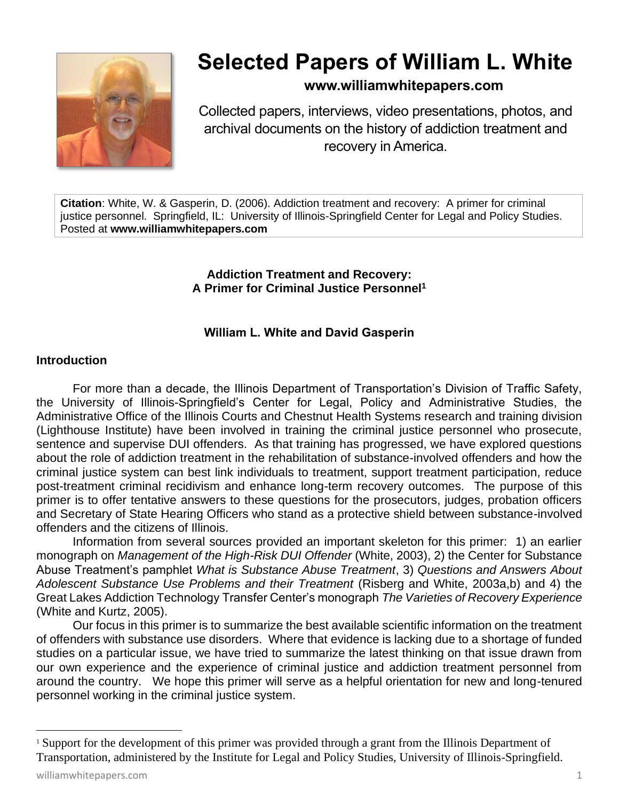

# **Selected Papers of William L. White**

# **www.williamwhitepapers.com**

Collected papers, interviews, video presentations, photos, and archival documents on the history of addiction treatment and recovery in America.

**Citation**: White, W. & Gasperin, D. (2006). Addiction treatment and recovery: A primer for criminal justice personnel. Springfield, IL: University of Illinois-Springfield Center for Legal and Policy Studies. Posted at **www.williamwhitepapers.com**

> **Addiction Treatment and Recovery: A Primer for Criminal Justice Personnel<sup>1</sup>**

## **William L. White and David Gasperin**

#### **Introduction**

For more than a decade, the Illinois Department of Transportation's Division of Traffic Safety, the University of Illinois-Springfield's Center for Legal, Policy and Administrative Studies, the Administrative Office of the Illinois Courts and Chestnut Health Systems research and training division (Lighthouse Institute) have been involved in training the criminal justice personnel who prosecute, sentence and supervise DUI offenders. As that training has progressed, we have explored questions about the role of addiction treatment in the rehabilitation of substance-involved offenders and how the criminal justice system can best link individuals to treatment, support treatment participation, reduce post-treatment criminal recidivism and enhance long-term recovery outcomes. The purpose of this primer is to offer tentative answers to these questions for the prosecutors, judges, probation officers and Secretary of State Hearing Officers who stand as a protective shield between substance-involved offenders and the citizens of Illinois.

Information from several sources provided an important skeleton for this primer: 1) an earlier monograph on *Management of the High-Risk DUI Offender* (White, 2003), 2) the Center for Substance Abuse Treatment's pamphlet *What is Substance Abuse Treatment*, 3) *Questions and Answers About Adolescent Substance Use Problems and their Treatment* (Risberg and White, 2003a,b) and 4) the Great Lakes Addiction Technology Transfer Center's monograph *The Varieties of Recovery Experience* (White and Kurtz, 2005).

Our focus in this primer is to summarize the best available scientific information on the treatment of offenders with substance use disorders. Where that evidence is lacking due to a shortage of funded studies on a particular issue, we have tried to summarize the latest thinking on that issue drawn from our own experience and the experience of criminal justice and addiction treatment personnel from around the country. We hope this primer will serve as a helpful orientation for new and long-tenured personnel working in the criminal justice system.

<sup>&</sup>lt;sup>1</sup> Support for the development of this primer was provided through a grant from the Illinois Department of Transportation, administered by the Institute for Legal and Policy Studies, University of Illinois-Springfield.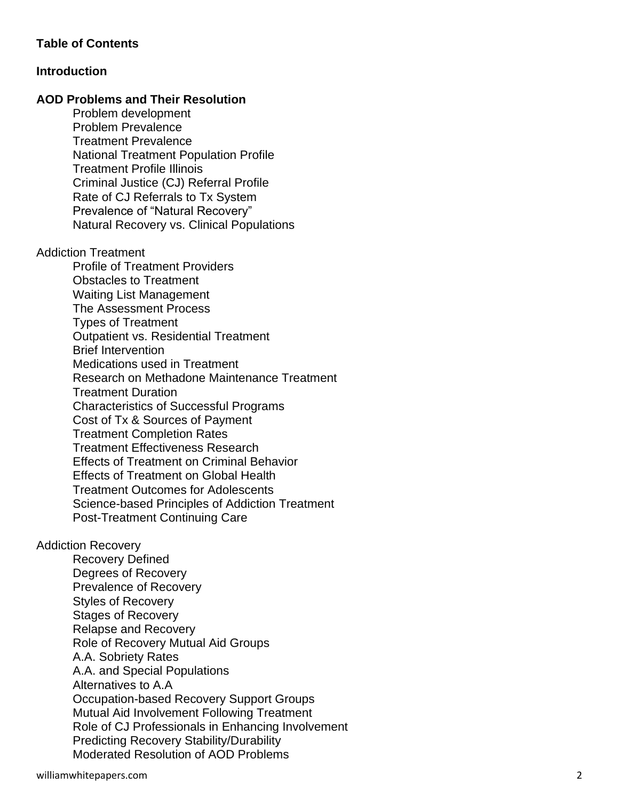## **Table of Contents**

### **Introduction**

### **AOD Problems and Their Resolution**

Problem development Problem Prevalence Treatment Prevalence National Treatment Population Profile Treatment Profile Illinois Criminal Justice (CJ) Referral Profile Rate of CJ Referrals to Tx System Prevalence of "Natural Recovery" Natural Recovery vs. Clinical Populations

### Addiction Treatment

Profile of Treatment Providers Obstacles to Treatment Waiting List Management The Assessment Process Types of Treatment Outpatient vs. Residential Treatment Brief Intervention Medications used in Treatment Research on Methadone Maintenance Treatment Treatment Duration Characteristics of Successful Programs Cost of Tx & Sources of Payment Treatment Completion Rates Treatment Effectiveness Research Effects of Treatment on Criminal Behavior Effects of Treatment on Global Health Treatment Outcomes for Adolescents Science -based Principles of Addiction Treatment Post -Treatment Continuing Care

# Addiction Recovery

Recovery Defined Degrees of Recovery Prevalence of Recovery Styles of Recovery Stages of Recovery Relapse and Recovery Role of Recovery Mutual Aid Groups A.A. Sobriety Rates A.A. and Special Populations Alternatives to A.A Occupation -based Recovery Support Groups Mutual Aid Involvement Following Treatment Role of CJ Professionals in Enhancing Involvement Predicting Recovery Stability/Durability Moderated Resolution of AOD Problems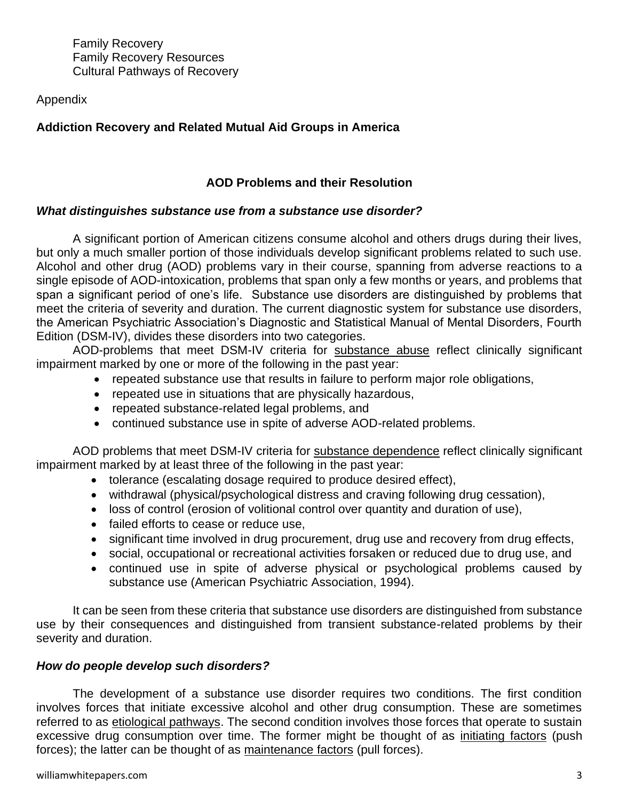Family Recovery Family Recovery Resources Cultural Pathways of Recovery

Appendix

# **Addiction Recovery and Related Mutual Aid Groups in America**

## **AOD Problems and their Resolution**

### *What distinguishes substance use from a substance use disorder?*

A significant portion of American citizens consume alcohol and others drugs during their lives, but only a much smaller portion of those individuals develop significant problems related to such use. Alcohol and other drug (AOD) problems vary in their course, spanning from adverse reactions to a single episode of AOD-intoxication, problems that span only a few months or years, and problems that span a significant period of one's life. Substance use disorders are distinguished by problems that meet the criteria of severity and duration. The current diagnostic system for substance use disorders, the American Psychiatric Association's Diagnostic and Statistical Manual of Mental Disorders, Fourth Edition (DSM-IV), divides these disorders into two categories.

AOD-problems that meet DSM-IV criteria for substance abuse reflect clinically significant impairment marked by one or more of the following in the past year:

- repeated substance use that results in failure to perform major role obligations,
- repeated use in situations that are physically hazardous,
- repeated substance-related legal problems, and
- continued substance use in spite of adverse AOD-related problems.

AOD problems that meet DSM-IV criteria for substance dependence reflect clinically significant impairment marked by at least three of the following in the past year:

- tolerance (escalating dosage required to produce desired effect),
- withdrawal (physical/psychological distress and craving following drug cessation),
- loss of control (erosion of volitional control over quantity and duration of use),
- failed efforts to cease or reduce use,
- significant time involved in drug procurement, drug use and recovery from drug effects,
- social, occupational or recreational activities forsaken or reduced due to drug use, and
- continued use in spite of adverse physical or psychological problems caused by substance use (American Psychiatric Association, 1994).

It can be seen from these criteria that substance use disorders are distinguished from substance use by their consequences and distinguished from transient substance-related problems by their severity and duration.

### *How do people develop such disorders?*

The development of a substance use disorder requires two conditions. The first condition involves forces that initiate excessive alcohol and other drug consumption. These are sometimes referred to as etiological pathways. The second condition involves those forces that operate to sustain excessive drug consumption over time. The former might be thought of as initiating factors (push forces); the latter can be thought of as maintenance factors (pull forces).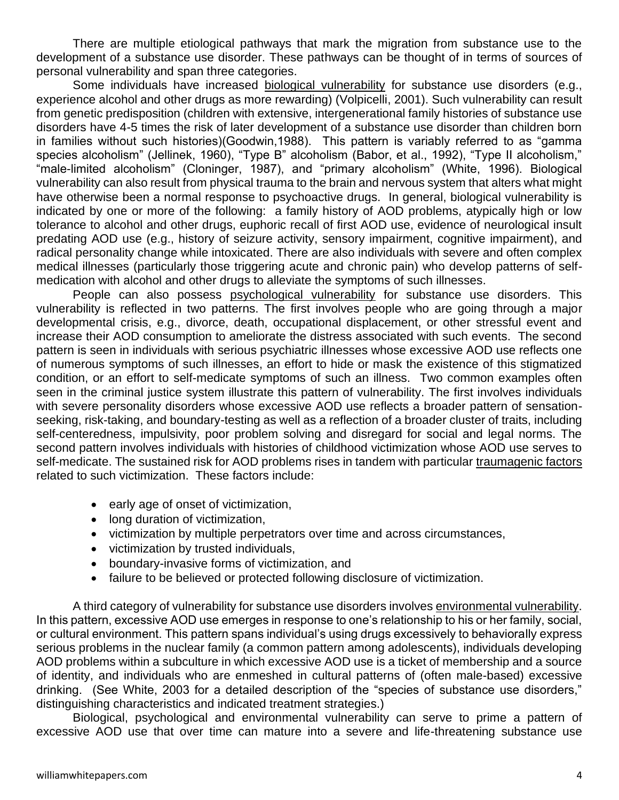There are multiple etiological pathways that mark the migration from substance use to the development of a substance use disorder. These pathways can be thought of in terms of sources of personal vulnerability and span three categories.

Some individuals have increased biological vulnerability for substance use disorders (e.g., experience alcohol and other drugs as more rewarding) (Volpicelli, 2001). Such vulnerability can result from genetic predisposition (children with extensive, intergenerational family histories of substance use disorders have 4-5 times the risk of later development of a substance use disorder than children born in families without such histories)(Goodwin,1988). This pattern is variably referred to as "gamma species alcoholism" (Jellinek, 1960), "Type B" alcoholism (Babor, et al., 1992), "Type II alcoholism," "male-limited alcoholism" (Cloninger, 1987), and "primary alcoholism" (White, 1996). Biological vulnerability can also result from physical trauma to the brain and nervous system that alters what might have otherwise been a normal response to psychoactive drugs. In general, biological vulnerability is indicated by one or more of the following: a family history of AOD problems, atypically high or low tolerance to alcohol and other drugs, euphoric recall of first AOD use, evidence of neurological insult predating AOD use (e.g., history of seizure activity, sensory impairment, cognitive impairment), and radical personality change while intoxicated. There are also individuals with severe and often complex medical illnesses (particularly those triggering acute and chronic pain) who develop patterns of selfmedication with alcohol and other drugs to alleviate the symptoms of such illnesses.

People can also possess psychological vulnerability for substance use disorders. This vulnerability is reflected in two patterns. The first involves people who are going through a major developmental crisis, e.g., divorce, death, occupational displacement, or other stressful event and increase their AOD consumption to ameliorate the distress associated with such events. The second pattern is seen in individuals with serious psychiatric illnesses whose excessive AOD use reflects one of numerous symptoms of such illnesses, an effort to hide or mask the existence of this stigmatized condition, or an effort to self-medicate symptoms of such an illness. Two common examples often seen in the criminal justice system illustrate this pattern of vulnerability. The first involves individuals with severe personality disorders whose excessive AOD use reflects a broader pattern of sensationseeking, risk-taking, and boundary-testing as well as a reflection of a broader cluster of traits, including self-centeredness, impulsivity, poor problem solving and disregard for social and legal norms. The second pattern involves individuals with histories of childhood victimization whose AOD use serves to self-medicate. The sustained risk for AOD problems rises in tandem with particular traumagenic factors related to such victimization. These factors include:

- early age of onset of victimization,
- long duration of victimization,
- victimization by multiple perpetrators over time and across circumstances,
- victimization by trusted individuals,
- boundary-invasive forms of victimization, and
- failure to be believed or protected following disclosure of victimization.

A third category of vulnerability for substance use disorders involves environmental vulnerability. In this pattern, excessive AOD use emerges in response to one's relationship to his or her family, social, or cultural environment. This pattern spans individual's using drugs excessively to behaviorally express serious problems in the nuclear family (a common pattern among adolescents), individuals developing AOD problems within a subculture in which excessive AOD use is a ticket of membership and a source of identity, and individuals who are enmeshed in cultural patterns of (often male-based) excessive drinking. (See White, 2003 for a detailed description of the "species of substance use disorders," distinguishing characteristics and indicated treatment strategies.)

Biological, psychological and environmental vulnerability can serve to prime a pattern of excessive AOD use that over time can mature into a severe and life-threatening substance use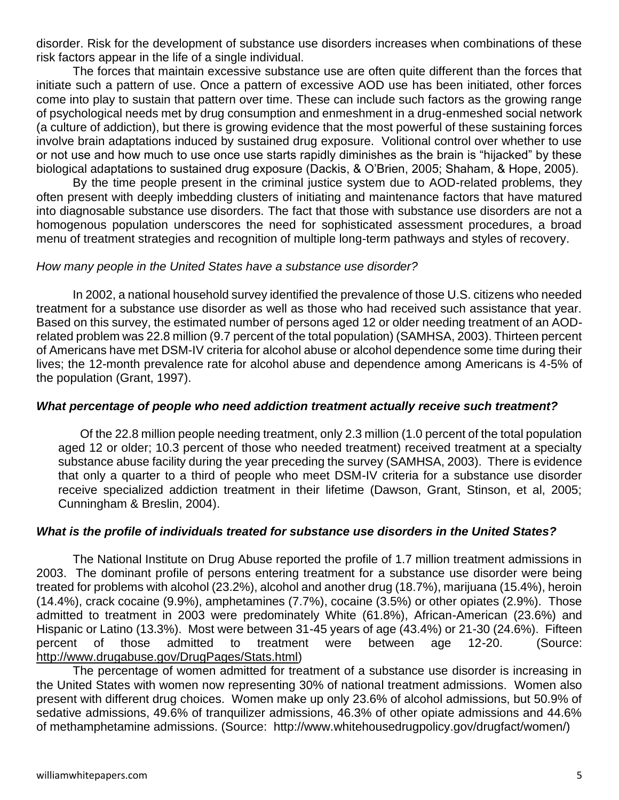disorder. Risk for the development of substance use disorders increases when combinations of these risk factors appear in the life of a single individual.

The forces that maintain excessive substance use are often quite different than the forces that initiate such a pattern of use. Once a pattern of excessive AOD use has been initiated, other forces come into play to sustain that pattern over time. These can include such factors as the growing range of psychological needs met by drug consumption and enmeshment in a drug-enmeshed social network (a culture of addiction), but there is growing evidence that the most powerful of these sustaining forces involve brain adaptations induced by sustained drug exposure. Volitional control over whether to use or not use and how much to use once use starts rapidly diminishes as the brain is "hijacked" by these biological adaptations to sustained drug exposure (Dackis, & O'Brien, 2005; Shaham, & Hope, 2005).

By the time people present in the criminal justice system due to AOD-related problems, they often present with deeply imbedding clusters of initiating and maintenance factors that have matured into diagnosable substance use disorders. The fact that those with substance use disorders are not a homogenous population underscores the need for sophisticated assessment procedures, a broad menu of treatment strategies and recognition of multiple long-term pathways and styles of recovery.

#### *How many people in the United States have a substance use disorder?*

In 2002, a national household survey identified the prevalence of those U.S. citizens who needed treatment for a substance use disorder as well as those who had received such assistance that year. Based on this survey, the estimated number of persons aged 12 or older needing treatment of an AODrelated problem was 22.8 million (9.7 percent of the total population) (SAMHSA, 2003). Thirteen percent of Americans have met DSM-IV criteria for alcohol abuse or alcohol dependence some time during their lives; the 12-month prevalence rate for alcohol abuse and dependence among Americans is 4-5% of the population (Grant, 1997).

#### *What percentage of people who need addiction treatment actually receive such treatment?*

Of the 22.8 million people needing treatment, only 2.3 million (1.0 percent of the total population aged 12 or older; 10.3 percent of those who needed treatment) received treatment at a specialty substance abuse facility during the year preceding the survey (SAMHSA, 2003). There is evidence that only a quarter to a third of people who meet DSM-IV criteria for a substance use disorder receive specialized addiction treatment in their lifetime (Dawson, Grant, Stinson, et al, 2005; Cunningham & Breslin, 2004).

### *What is the profile of individuals treated for substance use disorders in the United States?*

The National Institute on Drug Abuse reported the profile of 1.7 million treatment admissions in 2003. The dominant profile of persons entering treatment for a substance use disorder were being treated for problems with alcohol (23.2%), alcohol and another drug (18.7%), marijuana (15.4%), heroin (14.4%), crack cocaine (9.9%), amphetamines (7.7%), cocaine (3.5%) or other opiates (2.9%). Those admitted to treatment in 2003 were predominately White (61.8%), African-American (23.6%) and Hispanic or Latino (13.3%). Most were between 31-45 years of age (43.4%) or 21-30 (24.6%). Fifteen percent of those admitted to treatment were between age 12-20. (Source: [http://www.drugabuse.gov/DrugPages/Stats.html\)](http://www.drugabuse.gov/DrugPages/Stats.html)

The percentage of women admitted for treatment of a substance use disorder is increasing in the United States with women now representing 30% of national treatment admissions. Women also present with different drug choices. Women make up only 23.6% of alcohol admissions, but 50.9% of sedative admissions, 49.6% of tranquilizer admissions, 46.3% of other opiate admissions and 44.6% of methamphetamine admissions. (Source: http://www.whitehousedrugpolicy.gov/drugfact/women/)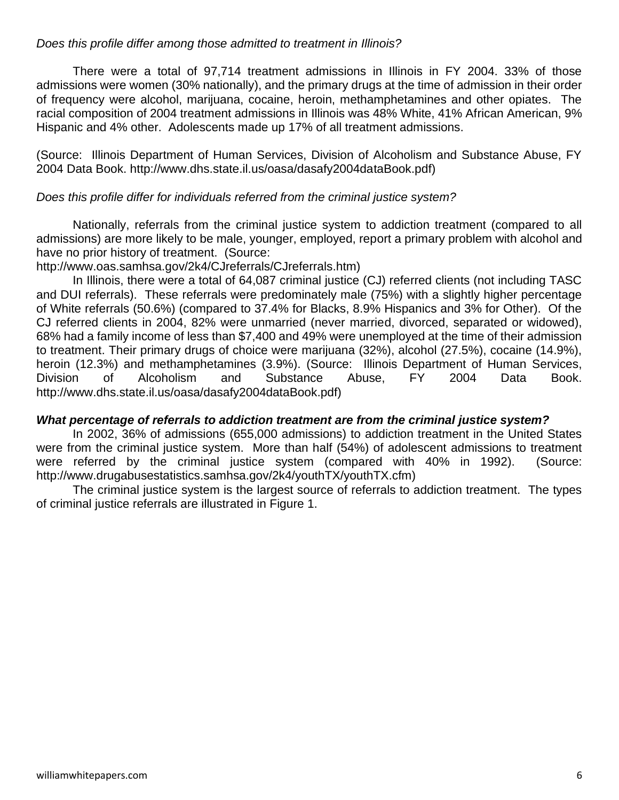### *Does this profile differ among those admitted to treatment in Illinois?*

There were a total of 97,714 treatment admissions in Illinois in FY 2004. 33% of those admissions were women (30% nationally), and the primary drugs at the time of admission in their order of frequency were alcohol, marijuana, cocaine, heroin, methamphetamines and other opiates. The racial composition of 2004 treatment admissions in Illinois was 48% White, 41% African American, 9% Hispanic and 4% other. Adolescents made up 17% of all treatment admissions.

(Source: Illinois Department of Human Services, Division of Alcoholism and Substance Abuse, FY 2004 Data Book. http://www.dhs.state.il.us/oasa/dasafy2004dataBook.pdf)

## *Does this profile differ for individuals referred from the criminal justice system?*

Nationally, referrals from the criminal justice system to addiction treatment (compared to all admissions) are more likely to be male, younger, employed, report a primary problem with alcohol and have no prior history of treatment. (Source:

http://www.oas.samhsa.gov/2k4/CJreferrals/CJreferrals.htm)

In Illinois, there were a total of 64,087 criminal justice (CJ) referred clients (not including TASC and DUI referrals). These referrals were predominately male (75%) with a slightly higher percentage of White referrals (50.6%) (compared to 37.4% for Blacks, 8.9% Hispanics and 3% for Other). Of the CJ referred clients in 2004, 82% were unmarried (never married, divorced, separated or widowed), 68% had a family income of less than \$7,400 and 49% were unemployed at the time of their admission to treatment. Their primary drugs of choice were marijuana (32%), alcohol (27.5%), cocaine (14.9%), heroin (12.3%) and methamphetamines (3.9%). (Source: Illinois Department of Human Services, Division of Alcoholism and Substance Abuse, FY 2004 Data Book. http://www.dhs.state.il.us/oasa/dasafy2004dataBook.pdf)

### *What percentage of referrals to addiction treatment are from the criminal justice system?*

In 2002, 36% of admissions (655,000 admissions) to addiction treatment in the United States were from the criminal justice system. More than half (54%) of adolescent admissions to treatment were referred by the criminal justice system (compared with 40% in 1992). (Source: http://www.drugabusestatistics.samhsa.gov/2k4/youthTX/youthTX.cfm)

The criminal justice system is the largest source of referrals to addiction treatment. The types of criminal justice referrals are illustrated in Figure 1.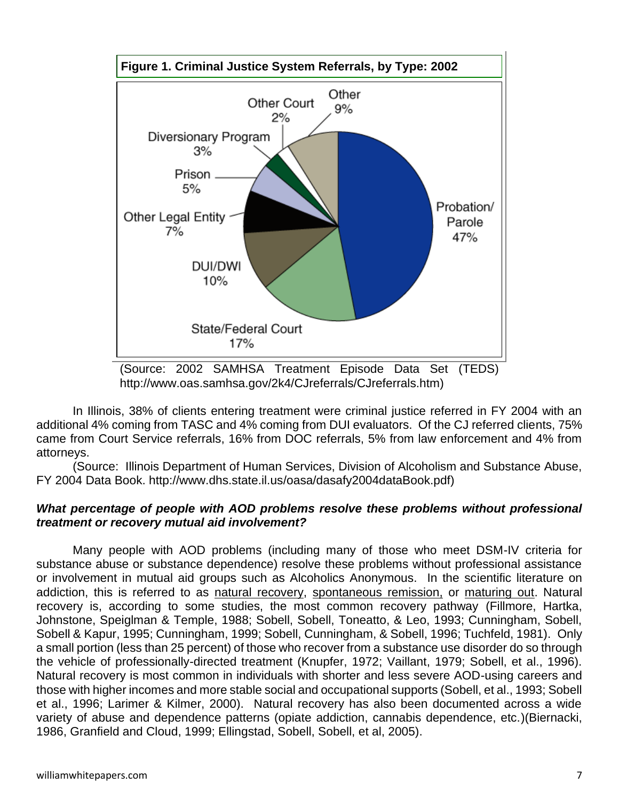

http://www.oas.samhsa.gov/2k4/CJreferrals/CJreferrals.htm)

In Illinois, 38% of clients entering treatment were criminal justice referred in FY 2004 with an additional 4% coming from TASC and 4% coming from DUI evaluators. Of the CJ referred clients, 75% came from Court Service referrals, 16% from DOC referrals, 5% from law enforcement and 4% from attorneys.

(Source: Illinois Department of Human Services, Division of Alcoholism and Substance Abuse, FY 2004 Data Book. http://www.dhs.state.il.us/oasa/dasafy2004dataBook.pdf)

#### *What percentage of people with AOD problems resolve these problems without professional treatment or recovery mutual aid involvement?*

Many people with AOD problems (including many of those who meet DSM-IV criteria for substance abuse or substance dependence) resolve these problems without professional assistance or involvement in mutual aid groups such as Alcoholics Anonymous. In the scientific literature on addiction, this is referred to as natural recovery, spontaneous remission, or maturing out. Natural recovery is, according to some studies, the most common recovery pathway (Fillmore, Hartka, Johnstone, Speiglman & Temple, 1988; Sobell, Sobell, Toneatto, & Leo, 1993; Cunningham, Sobell, Sobell & Kapur, 1995; Cunningham, 1999; Sobell, Cunningham, & Sobell, 1996; Tuchfeld, 1981). Only a small portion (less than 25 percent) of those who recover from a substance use disorder do so through the vehicle of professionally-directed treatment (Knupfer, 1972; Vaillant, 1979; Sobell, et al., 1996). Natural recovery is most common in individuals with shorter and less severe AOD-using careers and those with higher incomes and more stable social and occupational supports (Sobell, et al., 1993; Sobell et al., 1996; Larimer & Kilmer, 2000). Natural recovery has also been documented across a wide variety of abuse and dependence patterns (opiate addiction, cannabis dependence, etc.)(Biernacki, 1986, Granfield and Cloud, 1999; Ellingstad, Sobell, Sobell, et al, 2005).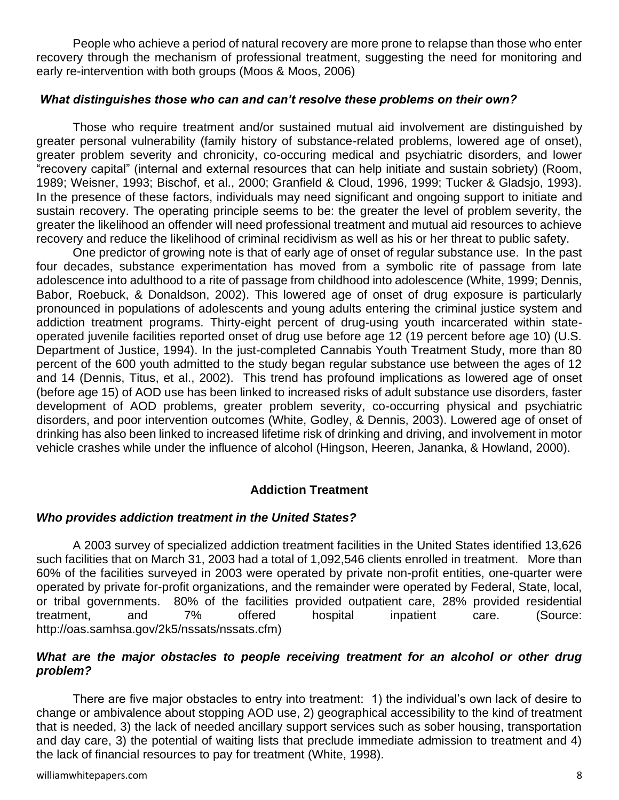People who achieve a period of natural recovery are more prone to relapse than those who enter recovery through the mechanism of professional treatment, suggesting the need for monitoring and early re-intervention with both groups (Moos & Moos, 2006)

#### *What distinguishes those who can and can't resolve these problems on their own?*

Those who require treatment and/or sustained mutual aid involvement are distinguished by greater personal vulnerability (family history of substance-related problems, lowered age of onset), greater problem severity and chronicity, co-occuring medical and psychiatric disorders, and lower "recovery capital" (internal and external resources that can help initiate and sustain sobriety) (Room, 1989; Weisner, 1993; Bischof, et al., 2000; Granfield & Cloud, 1996, 1999; Tucker & Gladsjo, 1993). In the presence of these factors, individuals may need significant and ongoing support to initiate and sustain recovery. The operating principle seems to be: the greater the level of problem severity, the greater the likelihood an offender will need professional treatment and mutual aid resources to achieve recovery and reduce the likelihood of criminal recidivism as well as his or her threat to public safety.

One predictor of growing note is that of early age of onset of regular substance use. In the past four decades, substance experimentation has moved from a symbolic rite of passage from late adolescence into adulthood to a rite of passage from childhood into adolescence (White, 1999; Dennis, Babor, Roebuck, & Donaldson, 2002). This lowered age of onset of drug exposure is particularly pronounced in populations of adolescents and young adults entering the criminal justice system and addiction treatment programs. Thirty-eight percent of drug-using youth incarcerated within stateoperated juvenile facilities reported onset of drug use before age 12 (19 percent before age 10) (U.S. Department of Justice, 1994). In the just-completed Cannabis Youth Treatment Study, more than 80 percent of the 600 youth admitted to the study began regular substance use between the ages of 12 and 14 (Dennis, Titus, et al., 2002). This trend has profound implications as lowered age of onset (before age 15) of AOD use has been linked to increased risks of adult substance use disorders, faster development of AOD problems, greater problem severity, co-occurring physical and psychiatric disorders, and poor intervention outcomes (White, Godley, & Dennis, 2003). Lowered age of onset of drinking has also been linked to increased lifetime risk of drinking and driving, and involvement in motor vehicle crashes while under the influence of alcohol (Hingson, Heeren, Jananka, & Howland, 2000).

### **Addiction Treatment**

#### *Who provides addiction treatment in the United States?*

A 2003 survey of specialized addiction treatment facilities in the United States identified 13,626 such facilities that on March 31, 2003 had a total of 1,092,546 clients enrolled in treatment. More than 60% of the facilities surveyed in 2003 were operated by private non-profit entities, one-quarter were operated by private for-profit organizations, and the remainder were operated by Federal, State, local, or tribal governments. 80% of the facilities provided outpatient care, 28% provided residential treatment, and 7% offered hospital inpatient care. (Source: http://oas.samhsa.gov/2k5/nssats/nssats.cfm)

#### *What are the major obstacles to people receiving treatment for an alcohol or other drug problem?*

There are five major obstacles to entry into treatment: 1) the individual's own lack of desire to change or ambivalence about stopping AOD use, 2) geographical accessibility to the kind of treatment that is needed, 3) the lack of needed ancillary support services such as sober housing, transportation and day care, 3) the potential of waiting lists that preclude immediate admission to treatment and 4) the lack of financial resources to pay for treatment (White, 1998).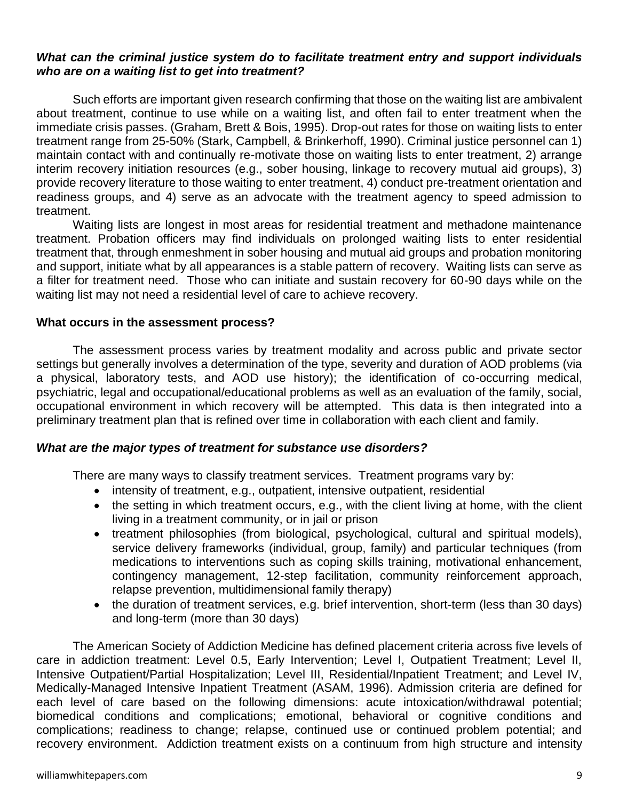### *What can the criminal justice system do to facilitate treatment entry and support individuals who are on a waiting list to get into treatment?*

Such efforts are important given research confirming that those on the waiting list are ambivalent about treatment, continue to use while on a waiting list, and often fail to enter treatment when the immediate crisis passes. (Graham, Brett & Bois, 1995). Drop-out rates for those on waiting lists to enter treatment range from 25-50% (Stark, Campbell, & Brinkerhoff, 1990). Criminal justice personnel can 1) maintain contact with and continually re-motivate those on waiting lists to enter treatment, 2) arrange interim recovery initiation resources (e.g., sober housing, linkage to recovery mutual aid groups), 3) provide recovery literature to those waiting to enter treatment, 4) conduct pre-treatment orientation and readiness groups, and 4) serve as an advocate with the treatment agency to speed admission to treatment.

Waiting lists are longest in most areas for residential treatment and methadone maintenance treatment. Probation officers may find individuals on prolonged waiting lists to enter residential treatment that, through enmeshment in sober housing and mutual aid groups and probation monitoring and support, initiate what by all appearances is a stable pattern of recovery. Waiting lists can serve as a filter for treatment need. Those who can initiate and sustain recovery for 60-90 days while on the waiting list may not need a residential level of care to achieve recovery.

#### **What occurs in the assessment process?**

The assessment process varies by treatment modality and across public and private sector settings but generally involves a determination of the type, severity and duration of AOD problems (via a physical, laboratory tests, and AOD use history); the identification of co-occurring medical, psychiatric, legal and occupational/educational problems as well as an evaluation of the family, social, occupational environment in which recovery will be attempted. This data is then integrated into a preliminary treatment plan that is refined over time in collaboration with each client and family.

### *What are the major types of treatment for substance use disorders?*

There are many ways to classify treatment services. Treatment programs vary by:

- intensity of treatment, e.g., outpatient, intensive outpatient, residential
- the setting in which treatment occurs, e.g., with the client living at home, with the client living in a treatment community, or in jail or prison
- treatment philosophies (from biological, psychological, cultural and spiritual models), service delivery frameworks (individual, group, family) and particular techniques (from medications to interventions such as coping skills training, motivational enhancement, contingency management, 12-step facilitation, community reinforcement approach, relapse prevention, multidimensional family therapy)
- the duration of treatment services, e.g. brief intervention, short-term (less than 30 days) and long-term (more than 30 days)

The American Society of Addiction Medicine has defined placement criteria across five levels of care in addiction treatment: Level 0.5, Early Intervention; Level I, Outpatient Treatment; Level II, Intensive Outpatient/Partial Hospitalization; Level III, Residential/Inpatient Treatment; and Level IV, Medically-Managed Intensive Inpatient Treatment (ASAM, 1996). Admission criteria are defined for each level of care based on the following dimensions: acute intoxication/withdrawal potential; biomedical conditions and complications; emotional, behavioral or cognitive conditions and complications; readiness to change; relapse, continued use or continued problem potential; and recovery environment. Addiction treatment exists on a continuum from high structure and intensity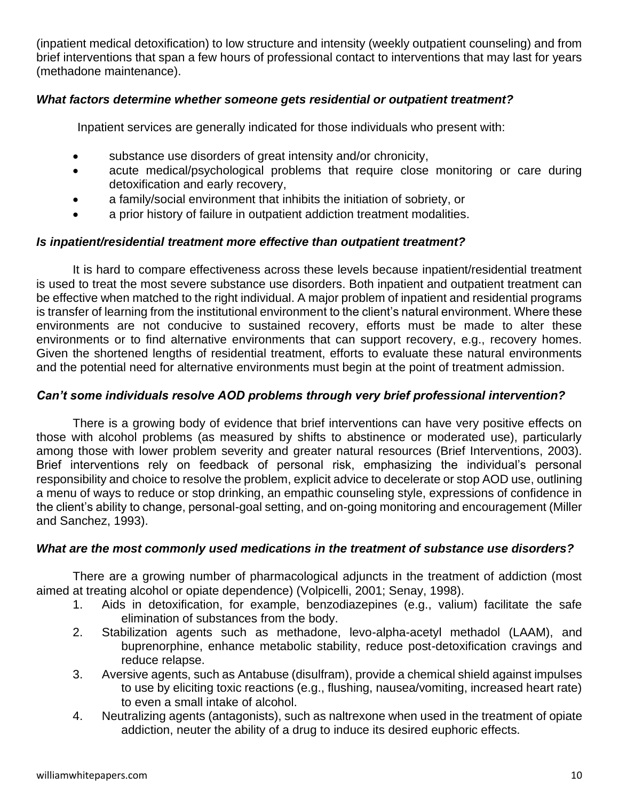(inpatient medical detoxification) to low structure and intensity (weekly outpatient counseling) and from brief interventions that span a few hours of professional contact to interventions that may last for years (methadone maintenance).

### *What factors determine whether someone gets residential or outpatient treatment?*

Inpatient services are generally indicated for those individuals who present with:

- substance use disorders of great intensity and/or chronicity,
- acute medical/psychological problems that require close monitoring or care during detoxification and early recovery,
- a family/social environment that inhibits the initiation of sobriety, or
- a prior history of failure in outpatient addiction treatment modalities.

## *Is inpatient/residential treatment more effective than outpatient treatment?*

It is hard to compare effectiveness across these levels because inpatient/residential treatment is used to treat the most severe substance use disorders. Both inpatient and outpatient treatment can be effective when matched to the right individual. A major problem of inpatient and residential programs is transfer of learning from the institutional environment to the client's natural environment. Where these environments are not conducive to sustained recovery, efforts must be made to alter these environments or to find alternative environments that can support recovery, e.g., recovery homes. Given the shortened lengths of residential treatment, efforts to evaluate these natural environments and the potential need for alternative environments must begin at the point of treatment admission.

# *Can't some individuals resolve AOD problems through very brief professional intervention?*

There is a growing body of evidence that brief interventions can have very positive effects on those with alcohol problems (as measured by shifts to abstinence or moderated use), particularly among those with lower problem severity and greater natural resources (Brief Interventions, 2003). Brief interventions rely on feedback of personal risk, emphasizing the individual's personal responsibility and choice to resolve the problem, explicit advice to decelerate or stop AOD use, outlining a menu of ways to reduce or stop drinking, an empathic counseling style, expressions of confidence in the client's ability to change, personal-goal setting, and on-going monitoring and encouragement (Miller and Sanchez, 1993).

### *What are the most commonly used medications in the treatment of substance use disorders?*

There are a growing number of pharmacological adjuncts in the treatment of addiction (most aimed at treating alcohol or opiate dependence) (Volpicelli, 2001; Senay, 1998).

- 1. Aids in detoxification, for example, benzodiazepines (e.g., valium) facilitate the safe elimination of substances from the body.
- 2. Stabilization agents such as methadone, levo-alpha-acetyl methadol (LAAM), and buprenorphine, enhance metabolic stability, reduce post-detoxification cravings and reduce relapse.
- 3. Aversive agents, such as Antabuse (disulfram), provide a chemical shield against impulses to use by eliciting toxic reactions (e.g., flushing, nausea/vomiting, increased heart rate) to even a small intake of alcohol.
- 4. Neutralizing agents (antagonists), such as naltrexone when used in the treatment of opiate addiction, neuter the ability of a drug to induce its desired euphoric effects.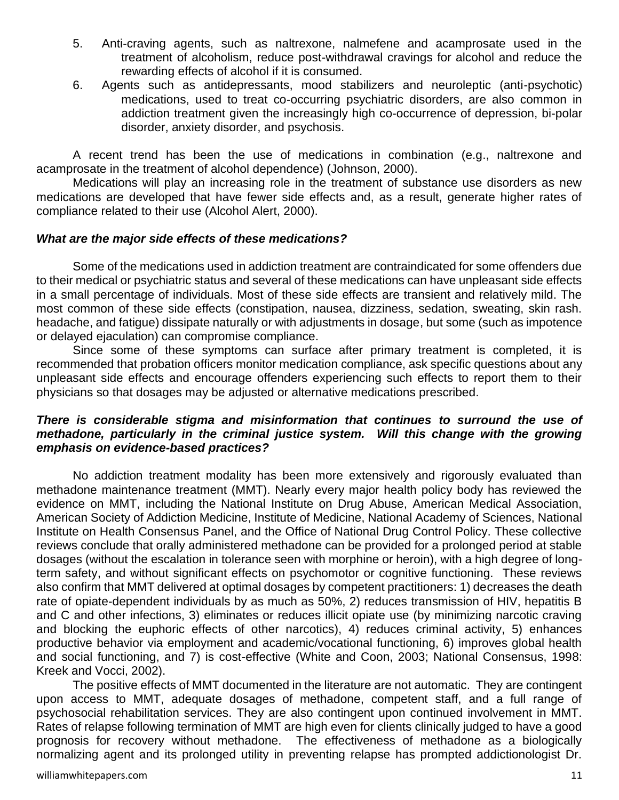- 5. Anti-craving agents, such as naltrexone, nalmefene and acamprosate used in the treatment of alcoholism, reduce post-withdrawal cravings for alcohol and reduce the rewarding effects of alcohol if it is consumed.
- 6. Agents such as antidepressants, mood stabilizers and neuroleptic (anti-psychotic) medications, used to treat co-occurring psychiatric disorders, are also common in addiction treatment given the increasingly high co-occurrence of depression, bi-polar disorder, anxiety disorder, and psychosis.

A recent trend has been the use of medications in combination (e.g., naltrexone and acamprosate in the treatment of alcohol dependence) (Johnson, 2000).

Medications will play an increasing role in the treatment of substance use disorders as new medications are developed that have fewer side effects and, as a result, generate higher rates of compliance related to their use (Alcohol Alert, 2000).

#### *What are the major side effects of these medications?*

Some of the medications used in addiction treatment are contraindicated for some offenders due to their medical or psychiatric status and several of these medications can have unpleasant side effects in a small percentage of individuals. Most of these side effects are transient and relatively mild. The most common of these side effects (constipation, nausea, dizziness, sedation, sweating, skin rash. headache, and fatigue) dissipate naturally or with adjustments in dosage, but some (such as impotence or delayed ejaculation) can compromise compliance.

Since some of these symptoms can surface after primary treatment is completed, it is recommended that probation officers monitor medication compliance, ask specific questions about any unpleasant side effects and encourage offenders experiencing such effects to report them to their physicians so that dosages may be adjusted or alternative medications prescribed.

#### *There is considerable stigma and misinformation that continues to surround the use of methadone, particularly in the criminal justice system. Will this change with the growing emphasis on evidence-based practices?*

No addiction treatment modality has been more extensively and rigorously evaluated than methadone maintenance treatment (MMT). Nearly every major health policy body has reviewed the evidence on MMT, including the National Institute on Drug Abuse, American Medical Association, American Society of Addiction Medicine, Institute of Medicine, National Academy of Sciences, National Institute on Health Consensus Panel, and the Office of National Drug Control Policy. These collective reviews conclude that orally administered methadone can be provided for a prolonged period at stable dosages (without the escalation in tolerance seen with morphine or heroin), with a high degree of longterm safety, and without significant effects on psychomotor or cognitive functioning. These reviews also confirm that MMT delivered at optimal dosages by competent practitioners: 1) decreases the death rate of opiate-dependent individuals by as much as 50%, 2) reduces transmission of HIV, hepatitis B and C and other infections, 3) eliminates or reduces illicit opiate use (by minimizing narcotic craving and blocking the euphoric effects of other narcotics), 4) reduces criminal activity, 5) enhances productive behavior via employment and academic/vocational functioning, 6) improves global health and social functioning, and 7) is cost-effective (White and Coon, 2003; National Consensus, 1998: Kreek and Vocci, 2002).

The positive effects of MMT documented in the literature are not automatic. They are contingent upon access to MMT, adequate dosages of methadone, competent staff, and a full range of psychosocial rehabilitation services. They are also contingent upon continued involvement in MMT. Rates of relapse following termination of MMT are high even for clients clinically judged to have a good prognosis for recovery without methadone. The effectiveness of methadone as a biologically normalizing agent and its prolonged utility in preventing relapse has prompted addictionologist Dr.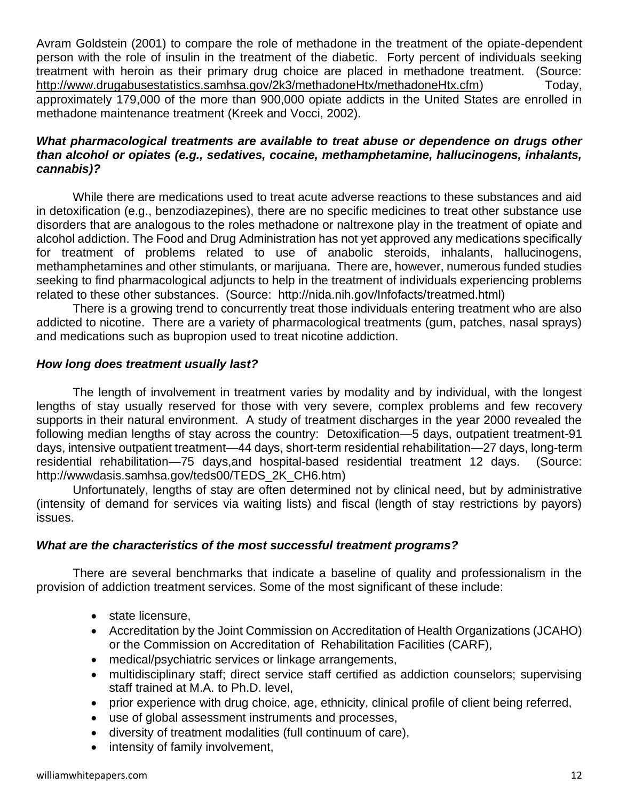Avram Goldstein (2001) to compare the role of methadone in the treatment of the opiate-dependent person with the role of insulin in the treatment of the diabetic. Forty percent of individuals seeking treatment with heroin as their primary drug choice are placed in methadone treatment. (Source: [http://www.drugabusestatistics.samhsa.gov/2k3/methadoneHtx/methadoneHtx.cfm\)](http://www.drugabusestatistics.samhsa.gov/2k3/methadoneHtx/methadoneHtx.cfm) Today, approximately 179,000 of the more than 900,000 opiate addicts in the United States are enrolled in methadone maintenance treatment (Kreek and Vocci, 2002).

## *What pharmacological treatments are available to treat abuse or dependence on drugs other than alcohol or opiates (e.g., sedatives, cocaine, methamphetamine, hallucinogens, inhalants, cannabis)?*

While there are medications used to treat acute adverse reactions to these substances and aid in detoxification (e.g., benzodiazepines), there are no specific medicines to treat other substance use disorders that are analogous to the roles methadone or naltrexone play in the treatment of opiate and alcohol addiction. The Food and Drug Administration has not yet approved any medications specifically for treatment of problems related to use of anabolic steroids, inhalants, hallucinogens, methamphetamines and other stimulants, or marijuana. There are, however, numerous funded studies seeking to find pharmacological adjuncts to help in the treatment of individuals experiencing problems related to these other substances. (Source: http://nida.nih.gov/Infofacts/treatmed.html)

There is a growing trend to concurrently treat those individuals entering treatment who are also addicted to nicotine. There are a variety of pharmacological treatments (gum, patches, nasal sprays) and medications such as bupropion used to treat nicotine addiction.

## *How long does treatment usually last?*

The length of involvement in treatment varies by modality and by individual, with the longest lengths of stay usually reserved for those with very severe, complex problems and few recovery supports in their natural environment. A study of treatment discharges in the year 2000 revealed the following median lengths of stay across the country: Detoxification—5 days, outpatient treatment-91 days, intensive outpatient treatment—44 days, short-term residential rehabilitation—27 days, long-term residential rehabilitation—75 days,and hospital-based residential treatment 12 days. (Source: http://wwwdasis.samhsa.gov/teds00/TEDS\_2K\_CH6.htm)

Unfortunately, lengths of stay are often determined not by clinical need, but by administrative (intensity of demand for services via waiting lists) and fiscal (length of stay restrictions by payors) issues.

### *What are the characteristics of the most successful treatment programs?*

There are several benchmarks that indicate a baseline of quality and professionalism in the provision of addiction treatment services. Some of the most significant of these include:

- state licensure,
- Accreditation by the Joint Commission on Accreditation of Health Organizations (JCAHO) or the Commission on Accreditation of Rehabilitation Facilities (CARF),
- medical/psychiatric services or linkage arrangements,
- multidisciplinary staff; direct service staff certified as addiction counselors; supervising staff trained at M.A. to Ph.D. level,
- prior experience with drug choice, age, ethnicity, clinical profile of client being referred,
- use of global assessment instruments and processes,
- diversity of treatment modalities (full continuum of care),
- intensity of family involvement,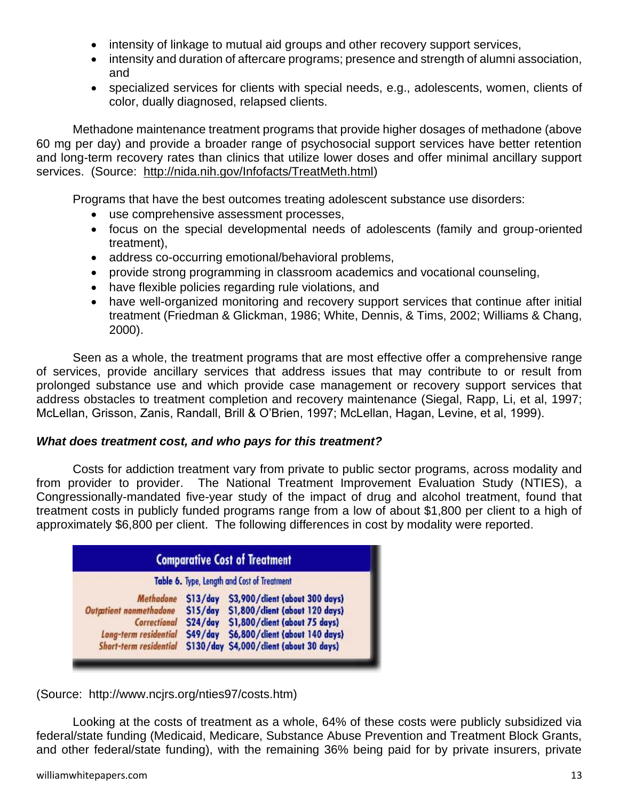- intensity of linkage to mutual aid groups and other recovery support services,
- intensity and duration of aftercare programs; presence and strength of alumni association, and
- specialized services for clients with special needs, e.g., adolescents, women, clients of color, dually diagnosed, relapsed clients.

Methadone maintenance treatment programs that provide higher dosages of methadone (above 60 mg per day) and provide a broader range of psychosocial support services have better retention and long-term recovery rates than clinics that utilize lower doses and offer minimal ancillary support services. (Source: [http://nida.nih.gov/Infofacts/TreatMeth.html\)](http://nida.nih.gov/Infofacts/TreatMeth.html)

Programs that have the best outcomes treating adolescent substance use disorders:

- use comprehensive assessment processes,
- focus on the special developmental needs of adolescents (family and group-oriented treatment),
- address co-occurring emotional/behavioral problems,
- provide strong programming in classroom academics and vocational counseling,
- have flexible policies regarding rule violations, and
- have well-organized monitoring and recovery support services that continue after initial treatment (Friedman & Glickman, 1986; White, Dennis, & Tims, 2002; Williams & Chang, 2000).

Seen as a whole, the treatment programs that are most effective offer a comprehensive range of services, provide ancillary services that address issues that may contribute to or result from prolonged substance use and which provide case management or recovery support services that address obstacles to treatment completion and recovery maintenance (Siegal, Rapp, Li, et al, 1997; McLellan, Grisson, Zanis, Randall, Brill & O'Brien, 1997; McLellan, Hagan, Levine, et al, 1999).

#### *What does treatment cost, and who pays for this treatment?*

Costs for addiction treatment vary from private to public sector programs, across modality and from provider to provider. The National Treatment Improvement Evaluation Study (NTIES), a Congressionally-mandated five-year study of the impact of drug and alcohol treatment, found that treatment costs in publicly funded programs range from a low of about \$1,800 per client to a high of approximately \$6,800 per client. The following differences in cost by modality were reported.

| <b>Comparative Cost of Treatment</b><br>Table 6. Type, Length and Cost of Treatment |          |                                         |
|-------------------------------------------------------------------------------------|----------|-----------------------------------------|
|                                                                                     |          |                                         |
| <b>Outpatient nonmethadone</b>                                                      | \$15/day | \$1,800/dient (about 120 days)          |
| Correctional                                                                        | \$24/day | \$1,800/client (about 75 days)          |
| Long-term residential                                                               | \$49/day | \$6,800/client (about 140 days)         |
| <b>Short-term residential</b>                                                       |          | \$130/day \$4,000/dient (about 30 days) |

(Source: http://www.ncjrs.org/nties97/costs.htm)

Looking at the costs of treatment as a whole, 64% of these costs were publicly subsidized via federal/state funding (Medicaid, Medicare, Substance Abuse Prevention and Treatment Block Grants, and other federal/state funding), with the remaining 36% being paid for by private insurers, private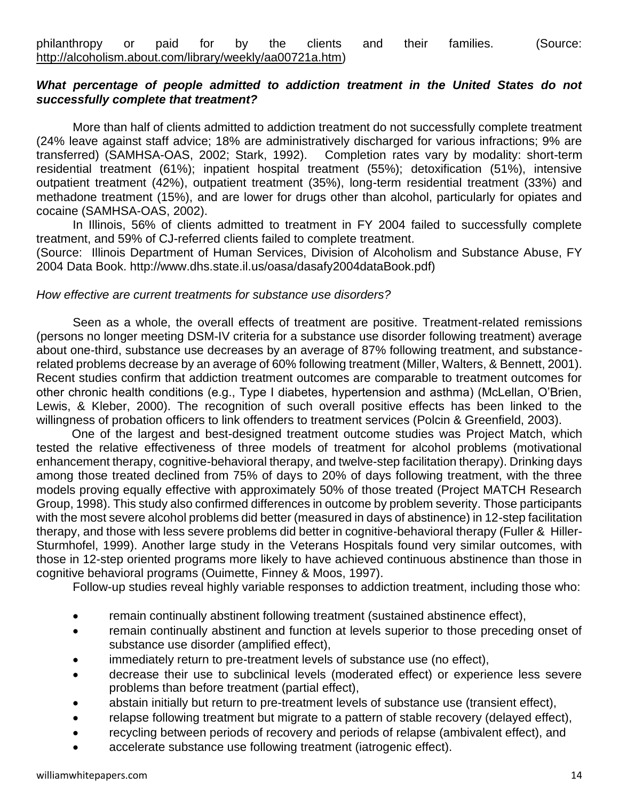### What percentage of people admitted to addiction treatment in the United States do not *successfully complete that treatment?*

More than half of clients admitted to addiction treatment do not successfully complete treatment (24% leave against staff advice; 18% are administratively discharged for various infractions; 9% are transferred) (SAMHSA-OAS, 2002; Stark, 1992). Completion rates vary by modality: short-term residential treatment (61%); inpatient hospital treatment (55%); detoxification (51%), intensive outpatient treatment (42%), outpatient treatment (35%), long-term residential treatment (33%) and methadone treatment (15%), and are lower for drugs other than alcohol, particularly for opiates and cocaine (SAMHSA-OAS, 2002).

In Illinois, 56% of clients admitted to treatment in FY 2004 failed to successfully complete treatment, and 59% of CJ-referred clients failed to complete treatment.

(Source: Illinois Department of Human Services, Division of Alcoholism and Substance Abuse, FY 2004 Data Book. http://www.dhs.state.il.us/oasa/dasafy2004dataBook.pdf)

### *How effective are current treatments for substance use disorders?*

Seen as a whole, the overall effects of treatment are positive. Treatment-related remissions (persons no longer meeting DSM-IV criteria for a substance use disorder following treatment) average about one-third, substance use decreases by an average of 87% following treatment, and substancerelated problems decrease by an average of 60% following treatment (Miller, Walters, & Bennett, 2001). Recent studies confirm that addiction treatment outcomes are comparable to treatment outcomes for other chronic health conditions (e.g., Type I diabetes, hypertension and asthma) (McLellan, O'Brien, Lewis, & Kleber, 2000). The recognition of such overall positive effects has been linked to the willingness of probation officers to link offenders to treatment services (Polcin & Greenfield, 2003).

 One of the largest and best-designed treatment outcome studies was Project Match, which tested the relative effectiveness of three models of treatment for alcohol problems (motivational enhancement therapy, cognitive-behavioral therapy, and twelve-step facilitation therapy). Drinking days among those treated declined from 75% of days to 20% of days following treatment, with the three models proving equally effective with approximately 50% of those treated (Project MATCH Research Group, 1998). This study also confirmed differences in outcome by problem severity. Those participants with the most severe alcohol problems did better (measured in days of abstinence) in 12-step facilitation therapy, and those with less severe problems did better in cognitive-behavioral therapy (Fuller & Hiller-Sturmhofel, 1999). Another large study in the Veterans Hospitals found very similar outcomes, with those in 12-step oriented programs more likely to have achieved continuous abstinence than those in cognitive behavioral programs (Ouimette, Finney & Moos, 1997).

Follow-up studies reveal highly variable responses to addiction treatment, including those who:

- remain continually abstinent following treatment (sustained abstinence effect),
- remain continually abstinent and function at levels superior to those preceding onset of substance use disorder (amplified effect),
- immediately return to pre-treatment levels of substance use (no effect),
- decrease their use to subclinical levels (moderated effect) or experience less severe problems than before treatment (partial effect),
- abstain initially but return to pre-treatment levels of substance use (transient effect),
- relapse following treatment but migrate to a pattern of stable recovery (delayed effect),
- recycling between periods of recovery and periods of relapse (ambivalent effect), and
- accelerate substance use following treatment (iatrogenic effect).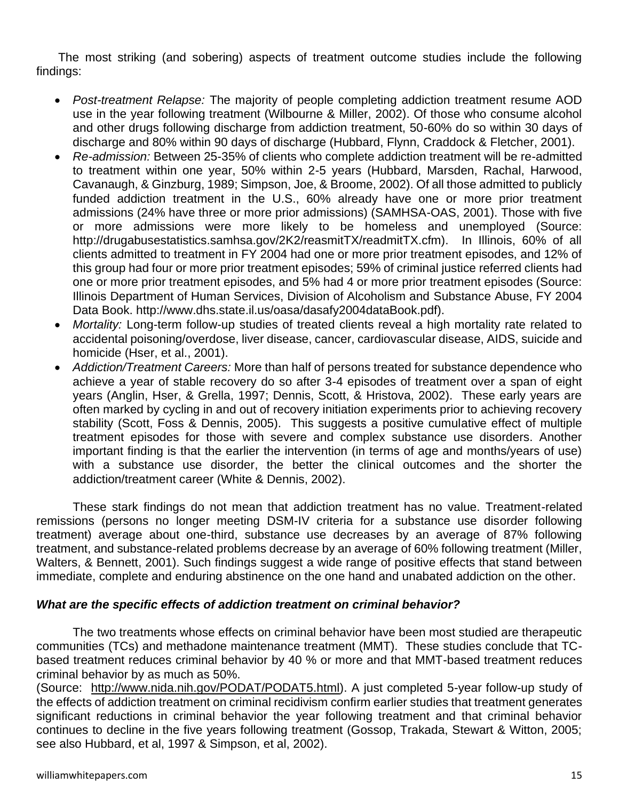The most striking (and sobering) aspects of treatment outcome studies include the following findings:

- *Post-treatment Relapse:* The majority of people completing addiction treatment resume AOD use in the year following treatment (Wilbourne & Miller, 2002). Of those who consume alcohol and other drugs following discharge from addiction treatment, 50-60% do so within 30 days of discharge and 80% within 90 days of discharge (Hubbard, Flynn, Craddock & Fletcher, 2001).
- *Re-admission:* Between 25-35% of clients who complete addiction treatment will be re-admitted to treatment within one year, 50% within 2-5 years (Hubbard, Marsden, Rachal, Harwood, Cavanaugh, & Ginzburg, 1989; Simpson, Joe, & Broome, 2002). Of all those admitted to publicly funded addiction treatment in the U.S., 60% already have one or more prior treatment admissions (24% have three or more prior admissions) (SAMHSA-OAS, 2001). Those with five or more admissions were more likely to be homeless and unemployed (Source: http://drugabusestatistics.samhsa.gov/2K2/reasmitTX/readmitTX.cfm). In Illinois, 60% of all clients admitted to treatment in FY 2004 had one or more prior treatment episodes, and 12% of this group had four or more prior treatment episodes; 59% of criminal justice referred clients had one or more prior treatment episodes, and 5% had 4 or more prior treatment episodes (Source: Illinois Department of Human Services, Division of Alcoholism and Substance Abuse, FY 2004 Data Book. http://www.dhs.state.il.us/oasa/dasafy2004dataBook.pdf).
- *Mortality:* Long-term follow-up studies of treated clients reveal a high mortality rate related to accidental poisoning/overdose, liver disease, cancer, cardiovascular disease, AIDS, suicide and homicide (Hser, et al., 2001).
- *Addiction/Treatment Careers:* More than half of persons treated for substance dependence who achieve a year of stable recovery do so after 3-4 episodes of treatment over a span of eight years (Anglin, Hser, & Grella, 1997; Dennis, Scott, & Hristova, 2002). These early years are often marked by cycling in and out of recovery initiation experiments prior to achieving recovery stability (Scott, Foss & Dennis, 2005). This suggests a positive cumulative effect of multiple treatment episodes for those with severe and complex substance use disorders. Another important finding is that the earlier the intervention (in terms of age and months/years of use) with a substance use disorder, the better the clinical outcomes and the shorter the addiction/treatment career (White & Dennis, 2002).

These stark findings do not mean that addiction treatment has no value. Treatment-related remissions (persons no longer meeting DSM-IV criteria for a substance use disorder following treatment) average about one-third, substance use decreases by an average of 87% following treatment, and substance-related problems decrease by an average of 60% following treatment (Miller, Walters, & Bennett, 2001). Such findings suggest a wide range of positive effects that stand between immediate, complete and enduring abstinence on the one hand and unabated addiction on the other.

### *What are the specific effects of addiction treatment on criminal behavior?*

The two treatments whose effects on criminal behavior have been most studied are therapeutic communities (TCs) and methadone maintenance treatment (MMT). These studies conclude that TCbased treatment reduces criminal behavior by 40 % or more and that MMT-based treatment reduces criminal behavior by as much as 50%.

(Source: [http://www.nida.nih.gov/PODAT/PODAT5.html\)](http://www.nida.nih.gov/PODAT/PODAT5.html). A just completed 5-year follow-up study of the effects of addiction treatment on criminal recidivism confirm earlier studies that treatment generates significant reductions in criminal behavior the year following treatment and that criminal behavior continues to decline in the five years following treatment (Gossop, Trakada, Stewart & Witton, 2005; see also Hubbard, et al, 1997 & Simpson, et al, 2002).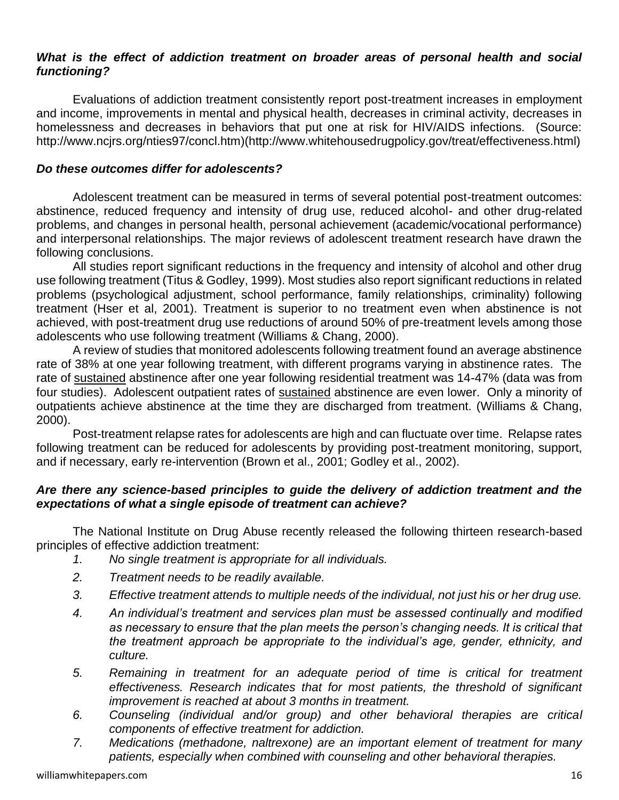### *What is the effect of addiction treatment on broader areas of personal health and social functioning?*

Evaluations of addiction treatment consistently report post-treatment increases in employment and income, improvements in mental and physical health, decreases in criminal activity, decreases in homelessness and decreases in behaviors that put one at risk for HIV/AIDS infections. (Source: http://www.ncjrs.org/nties97/concl.htm)(http://www.whitehousedrugpolicy.gov/treat/effectiveness.html)

### *Do these outcomes differ for adolescents?*

Adolescent treatment can be measured in terms of several potential post-treatment outcomes: abstinence, reduced frequency and intensity of drug use, reduced alcohol- and other drug-related problems, and changes in personal health, personal achievement (academic/vocational performance) and interpersonal relationships. The major reviews of adolescent treatment research have drawn the following conclusions.

All studies report significant reductions in the frequency and intensity of alcohol and other drug use following treatment (Titus & Godley, 1999). Most studies also report significant reductions in related problems (psychological adjustment, school performance, family relationships, criminality) following treatment (Hser et al, 2001). Treatment is superior to no treatment even when abstinence is not achieved, with post-treatment drug use reductions of around 50% of pre-treatment levels among those adolescents who use following treatment (Williams & Chang, 2000).

A review of studies that monitored adolescents following treatment found an average abstinence rate of 38% at one year following treatment, with different programs varying in abstinence rates. The rate of sustained abstinence after one year following residential treatment was 14-47% (data was from four studies). Adolescent outpatient rates of sustained abstinence are even lower. Only a minority of outpatients achieve abstinence at the time they are discharged from treatment. (Williams & Chang, 2000).

Post-treatment relapse rates for adolescents are high and can fluctuate over time. Relapse rates following treatment can be reduced for adolescents by providing post-treatment monitoring, support, and if necessary, early re-intervention (Brown et al., 2001; Godley et al., 2002).

### *Are there any science-based principles to guide the delivery of addiction treatment and the expectations of what a single episode of treatment can achieve?*

The National Institute on Drug Abuse recently released the following thirteen research-based principles of effective addiction treatment:

- *1. No single treatment is appropriate for all individuals.*
- *2. Treatment needs to be readily available.*
- *3. Effective treatment attends to multiple needs of the individual, not just his or her drug use.*
- *4. An individual's treatment and services plan must be assessed continually and modified as necessary to ensure that the plan meets the person's changing needs. It is critical that the treatment approach be appropriate to the individual's age, gender, ethnicity, and culture.*
- *5. Remaining in treatment for an adequate period of time is critical for treatment effectiveness. Research indicates that for most patients, the threshold of significant improvement is reached at about 3 months in treatment.*
- *6. Counseling (individual and/or group) and other behavioral therapies are critical components of effective treatment for addiction.*
- *7. Medications (methadone, naltrexone) are an important element of treatment for many patients, especially when combined with counseling and other behavioral therapies.*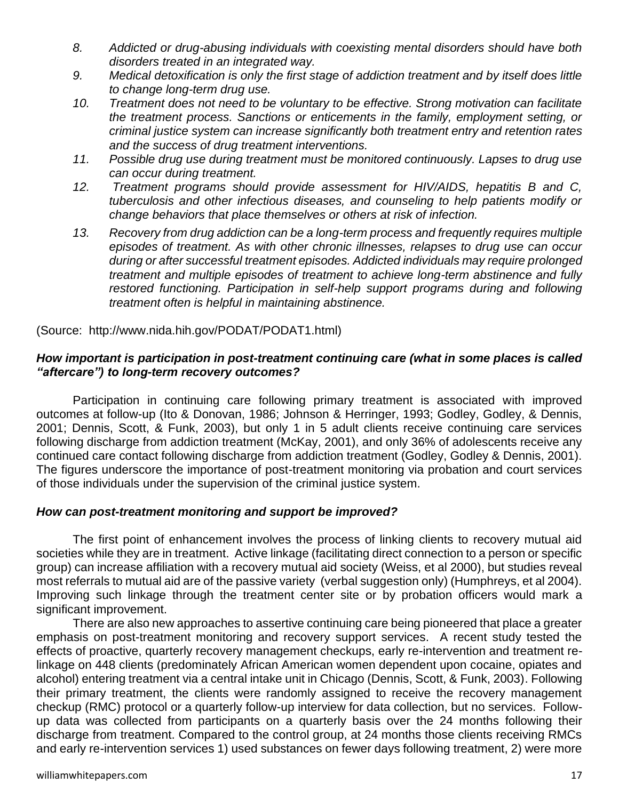- *8. Addicted or drug-abusing individuals with coexisting mental disorders should have both disorders treated in an integrated way.*
- *9. Medical detoxification is only the first stage of addiction treatment and by itself does little to change long-term drug use.*
- *10. Treatment does not need to be voluntary to be effective. Strong motivation can facilitate the treatment process. Sanctions or enticements in the family, employment setting, or criminal justice system can increase significantly both treatment entry and retention rates and the success of drug treatment interventions.*
- *11. Possible drug use during treatment must be monitored continuously. Lapses to drug use can occur during treatment.*
- *12. Treatment programs should provide assessment for HIV/AIDS, hepatitis B and C, tuberculosis and other infectious diseases, and counseling to help patients modify or change behaviors that place themselves or others at risk of infection.*
- *13. Recovery from drug addiction can be a long-term process and frequently requires multiple episodes of treatment. As with other chronic illnesses, relapses to drug use can occur during or after successful treatment episodes. Addicted individuals may require prolonged treatment and multiple episodes of treatment to achieve long-term abstinence and fully*  restored functioning. Participation in self-help support programs during and following *treatment often is helpful in maintaining abstinence.*

(Source: http://www.nida.hih.gov/PODAT/PODAT1.html)

### *How important is participation in post-treatment continuing care (what in some places is called "aftercare") to long-term recovery outcomes?*

Participation in continuing care following primary treatment is associated with improved outcomes at follow-up (Ito & Donovan, 1986; Johnson & Herringer, 1993; Godley, Godley, & Dennis, 2001; Dennis, Scott, & Funk, 2003), but only 1 in 5 adult clients receive continuing care services following discharge from addiction treatment (McKay, 2001), and only 36% of adolescents receive any continued care contact following discharge from addiction treatment (Godley, Godley & Dennis, 2001). The figures underscore the importance of post-treatment monitoring via probation and court services of those individuals under the supervision of the criminal justice system.

### *How can post-treatment monitoring and support be improved?*

The first point of enhancement involves the process of linking clients to recovery mutual aid societies while they are in treatment. Active linkage (facilitating direct connection to a person or specific group) can increase affiliation with a recovery mutual aid society (Weiss, et al 2000), but studies reveal most referrals to mutual aid are of the passive variety (verbal suggestion only) (Humphreys, et al 2004). Improving such linkage through the treatment center site or by probation officers would mark a significant improvement.

There are also new approaches to assertive continuing care being pioneered that place a greater emphasis on post-treatment monitoring and recovery support services. A recent study tested the effects of proactive, quarterly recovery management checkups, early re-intervention and treatment relinkage on 448 clients (predominately African American women dependent upon cocaine, opiates and alcohol) entering treatment via a central intake unit in Chicago (Dennis, Scott, & Funk, 2003). Following their primary treatment, the clients were randomly assigned to receive the recovery management checkup (RMC) protocol or a quarterly follow-up interview for data collection, but no services. Followup data was collected from participants on a quarterly basis over the 24 months following their discharge from treatment. Compared to the control group, at 24 months those clients receiving RMCs and early re-intervention services 1) used substances on fewer days following treatment, 2) were more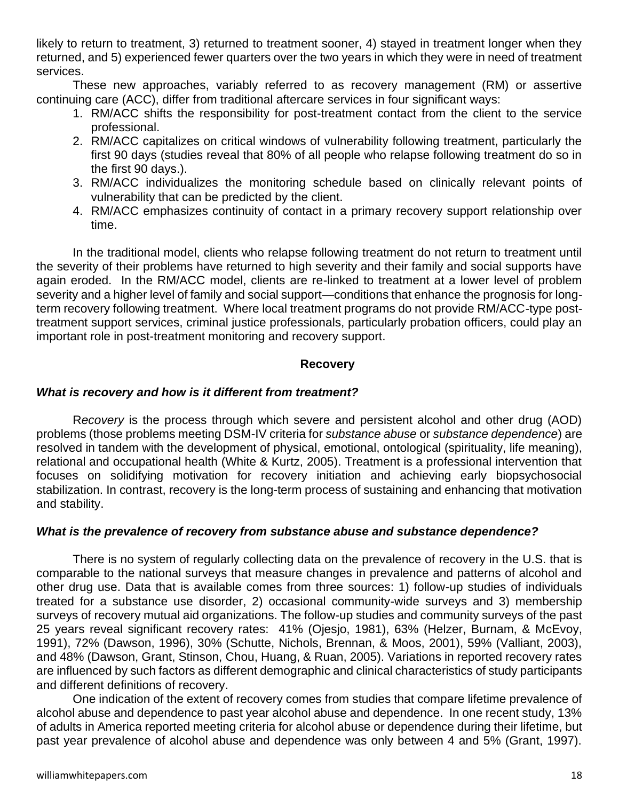likely to return to treatment, 3) returned to treatment sooner, 4) stayed in treatment longer when they returned, and 5) experienced fewer quarters over the two years in which they were in need of treatment services.

These new approaches, variably referred to as recovery management (RM) or assertive continuing care (ACC), differ from traditional aftercare services in four significant ways:

- 1. RM/ACC shifts the responsibility for post-treatment contact from the client to the service professional.
- 2. RM/ACC capitalizes on critical windows of vulnerability following treatment, particularly the first 90 days (studies reveal that 80% of all people who relapse following treatment do so in the first 90 days.).
- 3. RM/ACC individualizes the monitoring schedule based on clinically relevant points of vulnerability that can be predicted by the client.
- 4. RM/ACC emphasizes continuity of contact in a primary recovery support relationship over time.

In the traditional model, clients who relapse following treatment do not return to treatment until the severity of their problems have returned to high severity and their family and social supports have again eroded. In the RM/ACC model, clients are re-linked to treatment at a lower level of problem severity and a higher level of family and social support—conditions that enhance the prognosis for longterm recovery following treatment. Where local treatment programs do not provide RM/ACC-type posttreatment support services, criminal justice professionals, particularly probation officers, could play an important role in post-treatment monitoring and recovery support.

### **Recovery**

#### *What is recovery and how is it different from treatment?*

R*ecovery* is the process through which severe and persistent alcohol and other drug (AOD) problems (those problems meeting DSM-IV criteria for *substance abuse* or *substance dependence*) are resolved in tandem with the development of physical, emotional, ontological (spirituality, life meaning), relational and occupational health (White & Kurtz, 2005). Treatment is a professional intervention that focuses on solidifying motivation for recovery initiation and achieving early biopsychosocial stabilization. In contrast, recovery is the long-term process of sustaining and enhancing that motivation and stability.

### *What is the prevalence of recovery from substance abuse and substance dependence?*

There is no system of regularly collecting data on the prevalence of recovery in the U.S. that is comparable to the national surveys that measure changes in prevalence and patterns of alcohol and other drug use. Data that is available comes from three sources: 1) follow-up studies of individuals treated for a substance use disorder, 2) occasional community-wide surveys and 3) membership surveys of recovery mutual aid organizations. The follow-up studies and community surveys of the past 25 years reveal significant recovery rates: 41% (Ojesjo, 1981), 63% (Helzer, Burnam, & McEvoy, 1991), 72% (Dawson, 1996), 30% (Schutte, Nichols, Brennan, & Moos, 2001), 59% (Valliant, 2003), and 48% (Dawson, Grant, Stinson, Chou, Huang, & Ruan, 2005). Variations in reported recovery rates are influenced by such factors as different demographic and clinical characteristics of study participants and different definitions of recovery.

One indication of the extent of recovery comes from studies that compare lifetime prevalence of alcohol abuse and dependence to past year alcohol abuse and dependence. In one recent study, 13% of adults in America reported meeting criteria for alcohol abuse or dependence during their lifetime, but past year prevalence of alcohol abuse and dependence was only between 4 and 5% (Grant, 1997).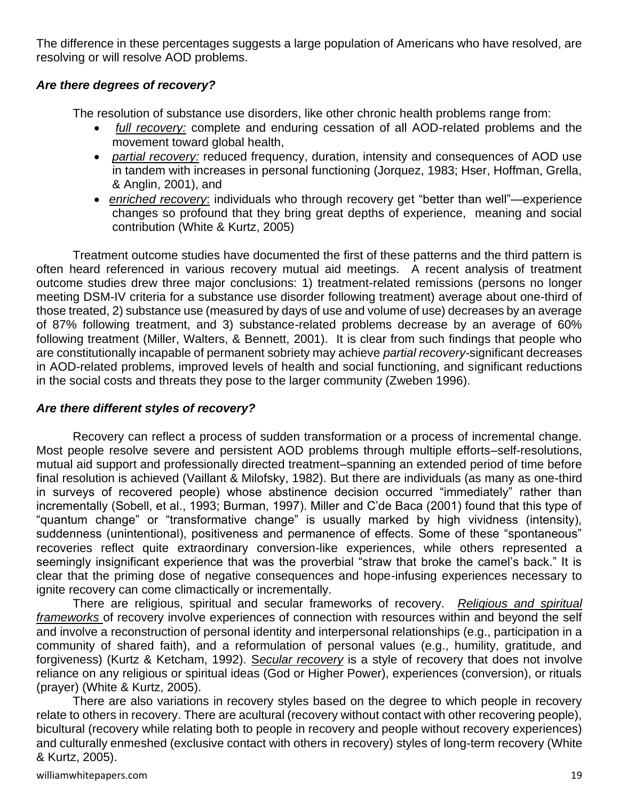The difference in these percentages suggests a large population of Americans who have resolved, are resolving or will resolve AOD problems.

## *Are there degrees of recovery?*

The resolution of substance use disorders, like other chronic health problems range from:

- full recovery: complete and enduring cessation of all AOD-related problems and the movement toward global health,
- *partial recovery:* reduced frequency, duration, intensity and consequences of AOD use in tandem with increases in personal functioning (Jorquez, 1983; Hser, Hoffman, Grella, & Anglin, 2001), and
- *enriched recovery*: individuals who through recovery get "better than well"—experience changes so profound that they bring great depths of experience, meaning and social contribution (White & Kurtz, 2005)

Treatment outcome studies have documented the first of these patterns and the third pattern is often heard referenced in various recovery mutual aid meetings. A recent analysis of treatment outcome studies drew three major conclusions: 1) treatment-related remissions (persons no longer meeting DSM-IV criteria for a substance use disorder following treatment) average about one-third of those treated, 2) substance use (measured by days of use and volume of use) decreases by an average of 87% following treatment, and 3) substance-related problems decrease by an average of 60% following treatment (Miller, Walters, & Bennett, 2001). It is clear from such findings that people who are constitutionally incapable of permanent sobriety may achieve *partial recovery-*significant decreases in AOD-related problems, improved levels of health and social functioning, and significant reductions in the social costs and threats they pose to the larger community (Zweben 1996).

# *Are there different styles of recovery?*

Recovery can reflect a process of sudden transformation or a process of incremental change*.*  Most people resolve severe and persistent AOD problems through multiple efforts–self-resolutions, mutual aid support and professionally directed treatment–spanning an extended period of time before final resolution is achieved (Vaillant & Milofsky, 1982). But there are individuals (as many as one-third in surveys of recovered people) whose abstinence decision occurred "immediately" rather than incrementally (Sobell, et al., 1993; Burman, 1997). Miller and C'de Baca (2001) found that this type of "quantum change" or "transformative change" is usually marked by high vividness (intensity), suddenness (unintentional), positiveness and permanence of effects. Some of these "spontaneous" recoveries reflect quite extraordinary conversion-like experiences, while others represented a seemingly insignificant experience that was the proverbial "straw that broke the camel's back." It is clear that the priming dose of negative consequences and hope-infusing experiences necessary to ignite recovery can come climactically or incrementally.

There are religious, spiritual and secular frameworks of recovery. *Religious and spiritual frameworks* of recovery involve experiences of connection with resources within and beyond the self and involve a reconstruction of personal identity and interpersonal relationships (e.g., participation in a community of shared faith), and a reformulation of personal values (e.g., humility, gratitude, and forgiveness) (Kurtz & Ketcham, 1992). S*ecular recovery* is a style of recovery that does not involve reliance on any religious or spiritual ideas (God or Higher Power), experiences (conversion), or rituals (prayer) (White & Kurtz, 2005).

There are also variations in recovery styles based on the degree to which people in recovery relate to others in recovery. There are acultural (recovery without contact with other recovering people), bicultural (recovery while relating both to people in recovery and people without recovery experiences) and culturally enmeshed (exclusive contact with others in recovery) styles of long-term recovery (White & Kurtz, 2005).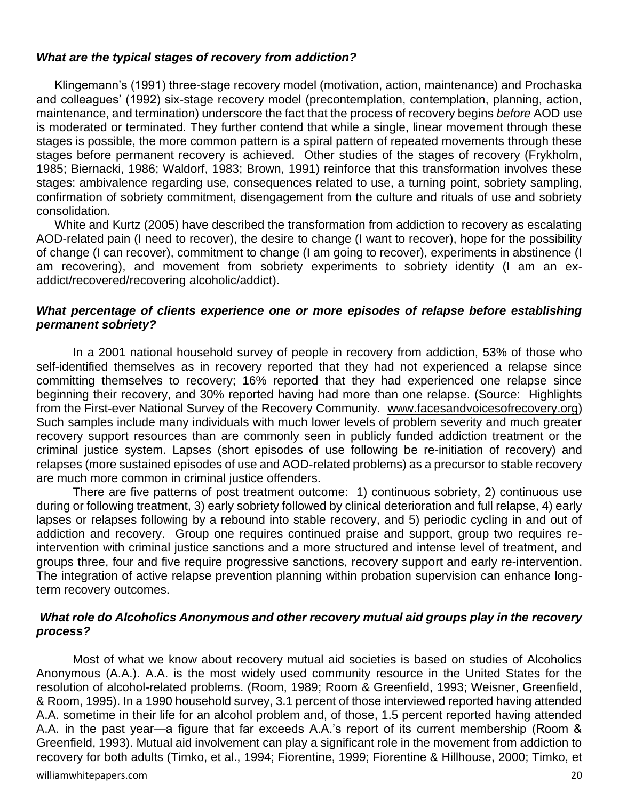#### *What are the typical stages of recovery from addiction?*

Klingemann's (1991) three-stage recovery model (motivation, action, maintenance) and Prochaska and colleagues' (1992) six-stage recovery model (precontemplation, contemplation, planning, action, maintenance, and termination) underscore the fact that the process of recovery begins *before* AOD use is moderated or terminated. They further contend that while a single, linear movement through these stages is possible, the more common pattern is a spiral pattern of repeated movements through these stages before permanent recovery is achieved. Other studies of the stages of recovery (Frykholm, 1985; Biernacki, 1986; Waldorf, 1983; Brown, 1991) reinforce that this transformation involves these stages: ambivalence regarding use, consequences related to use, a turning point, sobriety sampling, confirmation of sobriety commitment, disengagement from the culture and rituals of use and sobriety consolidation.

White and Kurtz (2005) have described the transformation from addiction to recovery as escalating AOD-related pain (I need to recover), the desire to change (I want to recover), hope for the possibility of change (I can recover), commitment to change (I am going to recover), experiments in abstinence (I am recovering), and movement from sobriety experiments to sobriety identity (I am an exaddict/recovered/recovering alcoholic/addict).

#### *What percentage of clients experience one or more episodes of relapse before establishing permanent sobriety?*

In a 2001 national household survey of people in recovery from addiction, 53% of those who self-identified themselves as in recovery reported that they had not experienced a relapse since committing themselves to recovery; 16% reported that they had experienced one relapse since beginning their recovery, and 30% reported having had more than one relapse. (Source: Highlights from the First-ever National Survey of the Recovery Community. [www.facesandvoicesofrecovery.org\)](http://www.facesandvoicesofrecovery.org/) Such samples include many individuals with much lower levels of problem severity and much greater recovery support resources than are commonly seen in publicly funded addiction treatment or the criminal justice system. Lapses (short episodes of use following be re-initiation of recovery) and relapses (more sustained episodes of use and AOD-related problems) as a precursor to stable recovery are much more common in criminal justice offenders.

There are five patterns of post treatment outcome: 1) continuous sobriety, 2) continuous use during or following treatment, 3) early sobriety followed by clinical deterioration and full relapse, 4) early lapses or relapses following by a rebound into stable recovery, and 5) periodic cycling in and out of addiction and recovery. Group one requires continued praise and support, group two requires reintervention with criminal justice sanctions and a more structured and intense level of treatment, and groups three, four and five require progressive sanctions, recovery support and early re-intervention. The integration of active relapse prevention planning within probation supervision can enhance longterm recovery outcomes.

#### *What role do Alcoholics Anonymous and other recovery mutual aid groups play in the recovery process?*

Most of what we know about recovery mutual aid societies is based on studies of Alcoholics Anonymous (A.A.). A.A. is the most widely used community resource in the United States for the resolution of alcohol-related problems. (Room, 1989; Room & Greenfield, 1993; Weisner, Greenfield, & Room, 1995). In a 1990 household survey, 3.1 percent of those interviewed reported having attended A.A. sometime in their life for an alcohol problem and, of those, 1.5 percent reported having attended A.A. in the past year—a figure that far exceeds A.A.'s report of its current membership (Room & Greenfield, 1993). Mutual aid involvement can play a significant role in the movement from addiction to recovery for both adults (Timko, et al., 1994; Fiorentine, 1999; Fiorentine & Hillhouse, 2000; Timko, et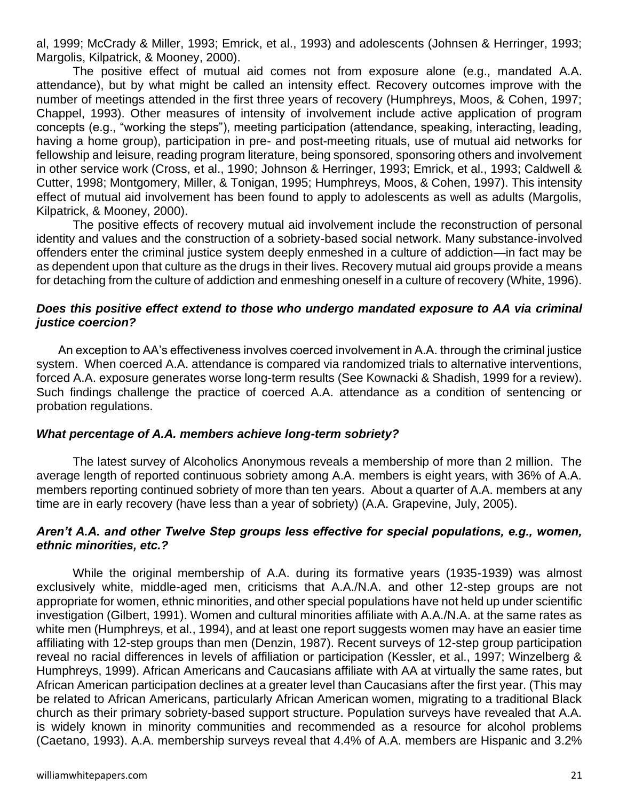al, 1999; McCrady & Miller, 1993; Emrick, et al., 1993) and adolescents (Johnsen & Herringer, 1993; Margolis, Kilpatrick, & Mooney, 2000).

The positive effect of mutual aid comes not from exposure alone (e.g., mandated A.A. attendance), but by what might be called an intensity effect. Recovery outcomes improve with the number of meetings attended in the first three years of recovery (Humphreys, Moos, & Cohen, 1997; Chappel, 1993). Other measures of intensity of involvement include active application of program concepts (e.g., "working the steps"), meeting participation (attendance, speaking, interacting, leading, having a home group), participation in pre- and post-meeting rituals, use of mutual aid networks for fellowship and leisure, reading program literature, being sponsored, sponsoring others and involvement in other service work (Cross, et al., 1990; Johnson & Herringer, 1993; Emrick, et al., 1993; Caldwell & Cutter, 1998; Montgomery, Miller, & Tonigan, 1995; Humphreys, Moos, & Cohen, 1997). This intensity effect of mutual aid involvement has been found to apply to adolescents as well as adults (Margolis, Kilpatrick, & Mooney, 2000).

The positive effects of recovery mutual aid involvement include the reconstruction of personal identity and values and the construction of a sobriety-based social network. Many substance-involved offenders enter the criminal justice system deeply enmeshed in a culture of addiction—in fact may be as dependent upon that culture as the drugs in their lives. Recovery mutual aid groups provide a means for detaching from the culture of addiction and enmeshing oneself in a culture of recovery (White, 1996).

#### *Does this positive effect extend to those who undergo mandated exposure to AA via criminal justice coercion?*

An exception to AA's effectiveness involves coerced involvement in A.A. through the criminal justice system. When coerced A.A. attendance is compared via randomized trials to alternative interventions, forced A.A. exposure generates worse long-term results (See Kownacki & Shadish, 1999 for a review). Such findings challenge the practice of coerced A.A. attendance as a condition of sentencing or probation regulations.

### *What percentage of A.A. members achieve long-term sobriety?*

The latest survey of Alcoholics Anonymous reveals a membership of more than 2 million. The average length of reported continuous sobriety among A.A. members is eight years, with 36% of A.A. members reporting continued sobriety of more than ten years. About a quarter of A.A. members at any time are in early recovery (have less than a year of sobriety) (A.A. Grapevine, July, 2005).

#### *Aren't A.A. and other Twelve Step groups less effective for special populations, e.g., women, ethnic minorities, etc.?*

While the original membership of A.A. during its formative years (1935-1939) was almost exclusively white, middle-aged men, criticisms that A.A./N.A. and other 12-step groups are not appropriate for women, ethnic minorities, and other special populations have not held up under scientific investigation (Gilbert, 1991). Women and cultural minorities affiliate with A.A./N.A. at the same rates as white men (Humphreys, et al., 1994), and at least one report suggests women may have an easier time affiliating with 12-step groups than men (Denzin, 1987). Recent surveys of 12-step group participation reveal no racial differences in levels of affiliation or participation (Kessler, et al., 1997; Winzelberg & Humphreys, 1999). African Americans and Caucasians affiliate with AA at virtually the same rates, but African American participation declines at a greater level than Caucasians after the first year. (This may be related to African Americans, particularly African American women, migrating to a traditional Black church as their primary sobriety-based support structure. Population surveys have revealed that A.A. is widely known in minority communities and recommended as a resource for alcohol problems (Caetano, 1993). A.A. membership surveys reveal that 4.4% of A.A. members are Hispanic and 3.2%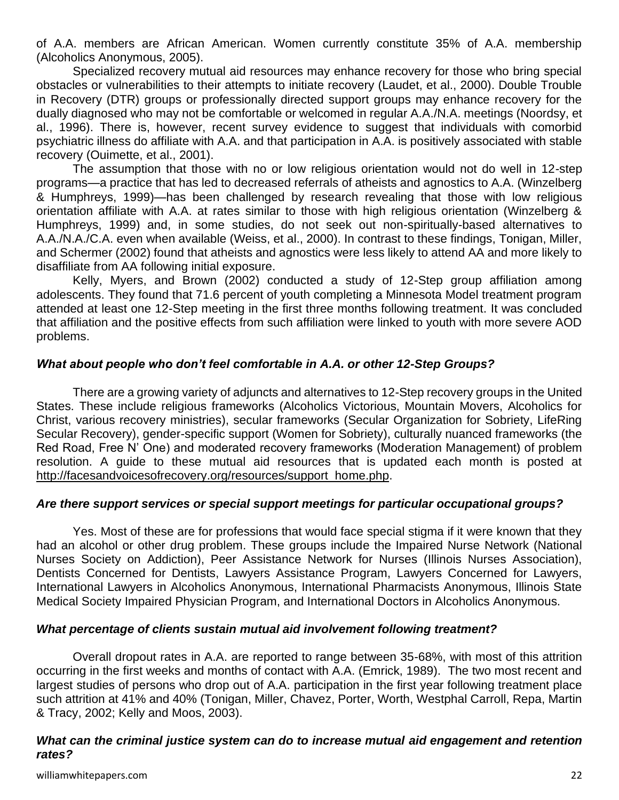of A.A. members are African American. Women currently constitute 35% of A.A. membership (Alcoholics Anonymous, 2005).

Specialized recovery mutual aid resources may enhance recovery for those who bring special obstacles or vulnerabilities to their attempts to initiate recovery (Laudet, et al., 2000). Double Trouble in Recovery (DTR) groups or professionally directed support groups may enhance recovery for the dually diagnosed who may not be comfortable or welcomed in regular A.A./N.A. meetings (Noordsy, et al., 1996). There is, however, recent survey evidence to suggest that individuals with comorbid psychiatric illness do affiliate with A.A. and that participation in A.A. is positively associated with stable recovery (Ouimette, et al., 2001).

The assumption that those with no or low religious orientation would not do well in 12-step programs—a practice that has led to decreased referrals of atheists and agnostics to A.A. (Winzelberg & Humphreys, 1999)—has been challenged by research revealing that those with low religious orientation affiliate with A.A. at rates similar to those with high religious orientation (Winzelberg & Humphreys, 1999) and, in some studies, do not seek out non-spiritually-based alternatives to A.A./N.A./C.A. even when available (Weiss, et al., 2000). In contrast to these findings, Tonigan, Miller, and Schermer (2002) found that atheists and agnostics were less likely to attend AA and more likely to disaffiliate from AA following initial exposure.

Kelly, Myers, and Brown (2002) conducted a study of 12-Step group affiliation among adolescents. They found that 71.6 percent of youth completing a Minnesota Model treatment program attended at least one 12-Step meeting in the first three months following treatment. It was concluded that affiliation and the positive effects from such affiliation were linked to youth with more severe AOD problems.

## *What about people who don't feel comfortable in A.A. or other 12-Step Groups?*

There are a growing variety of adjuncts and alternatives to 12-Step recovery groups in the United States. These include religious frameworks (Alcoholics Victorious, Mountain Movers, Alcoholics for Christ, various recovery ministries), secular frameworks (Secular Organization for Sobriety, LifeRing Secular Recovery), gender-specific support (Women for Sobriety), culturally nuanced frameworks (the Red Road, Free N' One) and moderated recovery frameworks (Moderation Management) of problem resolution. A guide to these mutual aid resources that is updated each month is posted at [http://facesandvoicesofrecovery.org/resources/support\\_home.php.](http://facesandvoicesofrecovery.org/resources/support_home.php)

### *Are there support services or special support meetings for particular occupational groups?*

Yes. Most of these are for professions that would face special stigma if it were known that they had an alcohol or other drug problem. These groups include the Impaired Nurse Network (National Nurses Society on Addiction), Peer Assistance Network for Nurses (Illinois Nurses Association), Dentists Concerned for Dentists, Lawyers Assistance Program, Lawyers Concerned for Lawyers, International Lawyers in Alcoholics Anonymous, International Pharmacists Anonymous, Illinois State Medical Society Impaired Physician Program, and International Doctors in Alcoholics Anonymous.

# *What percentage of clients sustain mutual aid involvement following treatment?*

Overall dropout rates in A.A. are reported to range between 35-68%, with most of this attrition occurring in the first weeks and months of contact with A.A. (Emrick, 1989). The two most recent and largest studies of persons who drop out of A.A. participation in the first year following treatment place such attrition at 41% and 40% (Tonigan, Miller, Chavez, Porter, Worth, Westphal Carroll, Repa, Martin & Tracy, 2002; Kelly and Moos, 2003).

### *What can the criminal justice system can do to increase mutual aid engagement and retention rates?*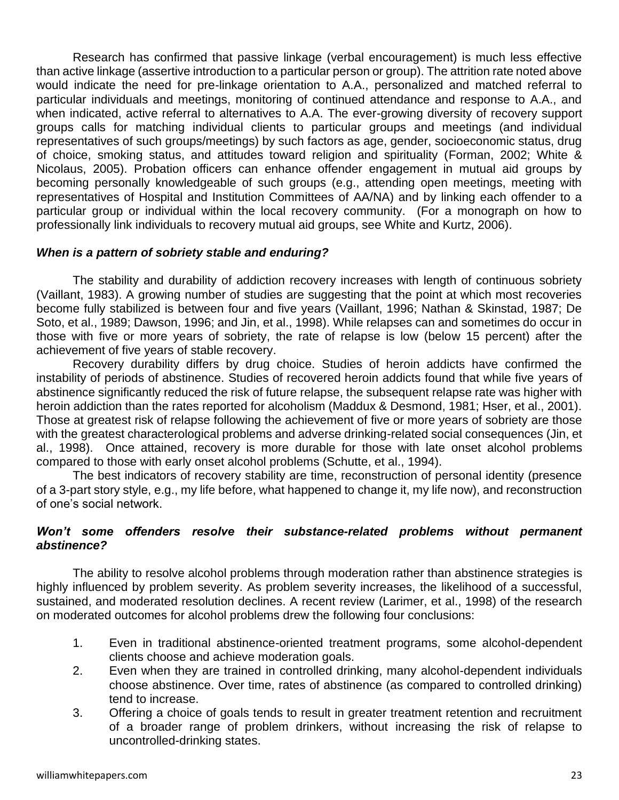Research has confirmed that passive linkage (verbal encouragement) is much less effective than active linkage (assertive introduction to a particular person or group). The attrition rate noted above would indicate the need for pre-linkage orientation to A.A., personalized and matched referral to particular individuals and meetings, monitoring of continued attendance and response to A.A., and when indicated, active referral to alternatives to A.A. The ever-growing diversity of recovery support groups calls for matching individual clients to particular groups and meetings (and individual representatives of such groups/meetings) by such factors as age, gender, socioeconomic status, drug of choice, smoking status, and attitudes toward religion and spirituality (Forman, 2002; White & Nicolaus, 2005). Probation officers can enhance offender engagement in mutual aid groups by becoming personally knowledgeable of such groups (e.g., attending open meetings, meeting with representatives of Hospital and Institution Committees of AA/NA) and by linking each offender to a particular group or individual within the local recovery community. (For a monograph on how to professionally link individuals to recovery mutual aid groups, see White and Kurtz, 2006).

### *When is a pattern of sobriety stable and enduring?*

The stability and durability of addiction recovery increases with length of continuous sobriety (Vaillant, 1983). A growing number of studies are suggesting that the point at which most recoveries become fully stabilized is between four and five years (Vaillant, 1996; Nathan & Skinstad, 1987; De Soto, et al., 1989; Dawson, 1996; and Jin, et al., 1998). While relapses can and sometimes do occur in those with five or more years of sobriety, the rate of relapse is low (below 15 percent) after the achievement of five years of stable recovery.

Recovery durability differs by drug choice. Studies of heroin addicts have confirmed the instability of periods of abstinence. Studies of recovered heroin addicts found that while five years of abstinence significantly reduced the risk of future relapse, the subsequent relapse rate was higher with heroin addiction than the rates reported for alcoholism (Maddux & Desmond, 1981; Hser, et al., 2001). Those at greatest risk of relapse following the achievement of five or more years of sobriety are those with the greatest characterological problems and adverse drinking-related social consequences (Jin, et al., 1998). Once attained, recovery is more durable for those with late onset alcohol problems compared to those with early onset alcohol problems (Schutte, et al., 1994).

The best indicators of recovery stability are time, reconstruction of personal identity (presence of a 3-part story style, e.g., my life before, what happened to change it, my life now), and reconstruction of one's social network.

### Won't some offenders resolve their substance-related problems without permanent *abstinence?*

The ability to resolve alcohol problems through moderation rather than abstinence strategies is highly influenced by problem severity. As problem severity increases, the likelihood of a successful, sustained, and moderated resolution declines. A recent review (Larimer, et al., 1998) of the research on moderated outcomes for alcohol problems drew the following four conclusions:

- 1. Even in traditional abstinence-oriented treatment programs, some alcohol-dependent clients choose and achieve moderation goals.
- 2. Even when they are trained in controlled drinking, many alcohol-dependent individuals choose abstinence. Over time, rates of abstinence (as compared to controlled drinking) tend to increase.
- 3. Offering a choice of goals tends to result in greater treatment retention and recruitment of a broader range of problem drinkers, without increasing the risk of relapse to uncontrolled-drinking states.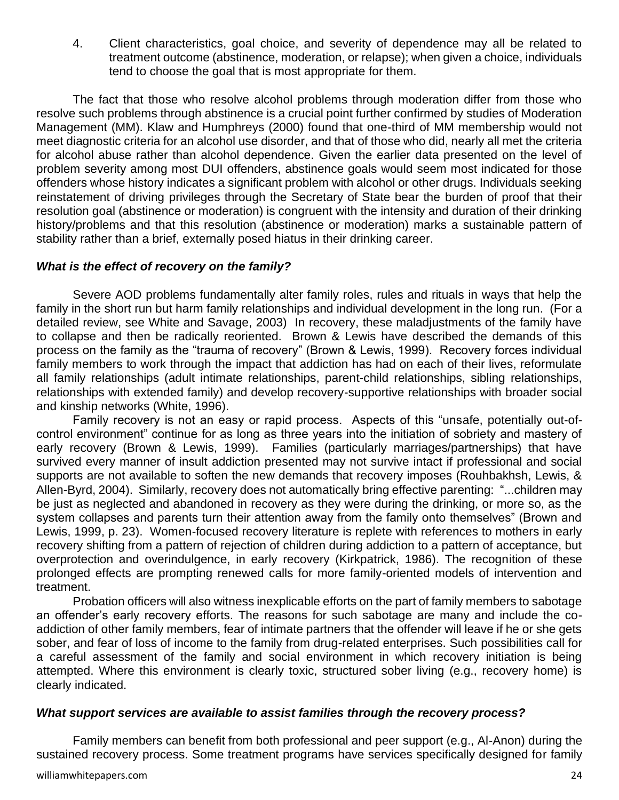4. Client characteristics, goal choice, and severity of dependence may all be related to treatment outcome (abstinence, moderation, or relapse); when given a choice, individuals tend to choose the goal that is most appropriate for them.

The fact that those who resolve alcohol problems through moderation differ from those who resolve such problems through abstinence is a crucial point further confirmed by studies of Moderation Management (MM). Klaw and Humphreys (2000) found that one-third of MM membership would not meet diagnostic criteria for an alcohol use disorder, and that of those who did, nearly all met the criteria for alcohol abuse rather than alcohol dependence. Given the earlier data presented on the level of problem severity among most DUI offenders, abstinence goals would seem most indicated for those offenders whose history indicates a significant problem with alcohol or other drugs. Individuals seeking reinstatement of driving privileges through the Secretary of State bear the burden of proof that their resolution goal (abstinence or moderation) is congruent with the intensity and duration of their drinking history/problems and that this resolution (abstinence or moderation) marks a sustainable pattern of stability rather than a brief, externally posed hiatus in their drinking career.

#### *What is the effect of recovery on the family?*

Severe AOD problems fundamentally alter family roles, rules and rituals in ways that help the family in the short run but harm family relationships and individual development in the long run. (For a detailed review, see White and Savage, 2003) In recovery, these maladjustments of the family have to collapse and then be radically reoriented. Brown & Lewis have described the demands of this process on the family as the "trauma of recovery" (Brown & Lewis, 1999). Recovery forces individual family members to work through the impact that addiction has had on each of their lives, reformulate all family relationships (adult intimate relationships, parent-child relationships, sibling relationships, relationships with extended family) and develop recovery-supportive relationships with broader social and kinship networks (White, 1996).

Family recovery is not an easy or rapid process. Aspects of this "unsafe, potentially out-ofcontrol environment" continue for as long as three years into the initiation of sobriety and mastery of early recovery (Brown & Lewis, 1999). Families (particularly marriages/partnerships) that have survived every manner of insult addiction presented may not survive intact if professional and social supports are not available to soften the new demands that recovery imposes (Rouhbakhsh, Lewis, & Allen-Byrd, 2004). Similarly, recovery does not automatically bring effective parenting: "...children may be just as neglected and abandoned in recovery as they were during the drinking, or more so, as the system collapses and parents turn their attention away from the family onto themselves" (Brown and Lewis, 1999, p. 23). Women-focused recovery literature is replete with references to mothers in early recovery shifting from a pattern of rejection of children during addiction to a pattern of acceptance, but overprotection and overindulgence, in early recovery (Kirkpatrick, 1986). The recognition of these prolonged effects are prompting renewed calls for more family-oriented models of intervention and treatment.

Probation officers will also witness inexplicable efforts on the part of family members to sabotage an offender's early recovery efforts. The reasons for such sabotage are many and include the coaddiction of other family members, fear of intimate partners that the offender will leave if he or she gets sober, and fear of loss of income to the family from drug-related enterprises. Such possibilities call for a careful assessment of the family and social environment in which recovery initiation is being attempted. Where this environment is clearly toxic, structured sober living (e.g., recovery home) is clearly indicated.

#### *What support services are available to assist families through the recovery process?*

Family members can benefit from both professional and peer support (e.g., Al-Anon) during the sustained recovery process. Some treatment programs have services specifically designed for family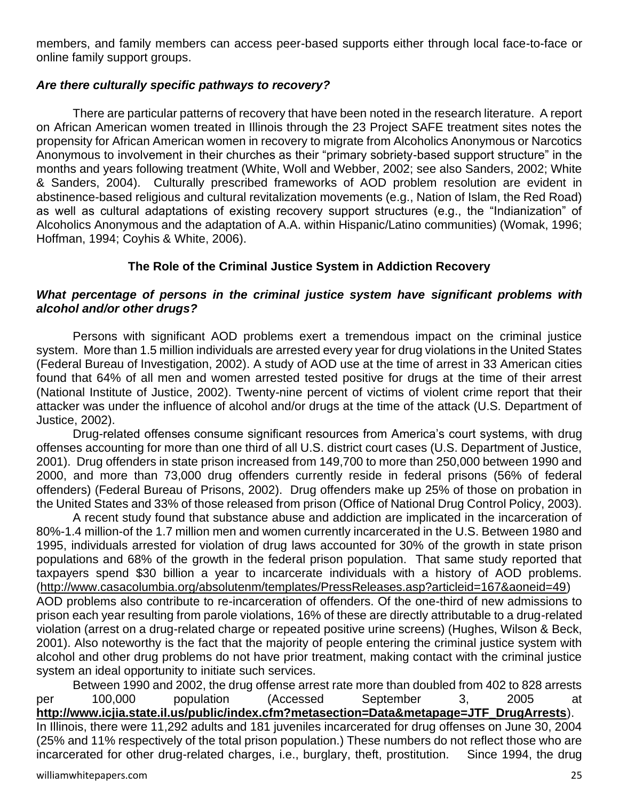members, and family members can access peer-based supports either through local face-to-face or online family support groups.

## *Are there culturally specific pathways to recovery?*

There are particular patterns of recovery that have been noted in the research literature. A report on African American women treated in Illinois through the 23 Project SAFE treatment sites notes the propensity for African American women in recovery to migrate from Alcoholics Anonymous or Narcotics Anonymous to involvement in their churches as their "primary sobriety-based support structure" in the months and years following treatment (White, Woll and Webber, 2002; see also Sanders, 2002; White & Sanders, 2004). Culturally prescribed frameworks of AOD problem resolution are evident in abstinence-based religious and cultural revitalization movements (e.g., Nation of Islam, the Red Road) as well as cultural adaptations of existing recovery support structures (e.g., the "Indianization" of Alcoholics Anonymous and the adaptation of A.A. within Hispanic/Latino communities) (Womak, 1996; Hoffman, 1994; Coyhis & White, 2006).

# **The Role of the Criminal Justice System in Addiction Recovery**

## *What percentage of persons in the criminal justice system have significant problems with alcohol and/or other drugs?*

Persons with significant AOD problems exert a tremendous impact on the criminal justice system. More than 1.5 million individuals are arrested every year for drug violations in the United States (Federal Bureau of Investigation, 2002). A study of AOD use at the time of arrest in 33 American cities found that 64% of all men and women arrested tested positive for drugs at the time of their arrest (National Institute of Justice, 2002). Twenty-nine percent of victims of violent crime report that their attacker was under the influence of alcohol and/or drugs at the time of the attack (U.S. Department of Justice, 2002).

Drug-related offenses consume significant resources from America's court systems, with drug offenses accounting for more than one third of all U.S. district court cases (U.S. Department of Justice, 2001). Drug offenders in state prison increased from 149,700 to more than 250,000 between 1990 and 2000, and more than 73,000 drug offenders currently reside in federal prisons (56% of federal offenders) (Federal Bureau of Prisons, 2002). Drug offenders make up 25% of those on probation in the United States and 33% of those released from prison (Office of National Drug Control Policy, 2003).

A recent study found that substance abuse and addiction are implicated in the incarceration of 80%-1.4 million-of the 1.7 million men and women currently incarcerated in the U.S. Between 1980 and 1995, individuals arrested for violation of drug laws accounted for 30% of the growth in state prison populations and 68% of the growth in the federal prison population. That same study reported that taxpayers spend \$30 billion a year to incarcerate individuals with a history of AOD problems. [\(http://www.casacolumbia.org/absolutenm/templates/PressReleases.asp?articleid=167&aoneid=49\)](http://www.casacolumbia.org/absolutenm/templates/PressReleases.asp?articleid=167&aoneid=49) AOD problems also contribute to re-incarceration of offenders. Of the one-third of new admissions to prison each year resulting from parole violations, 16% of these are directly attributable to a drug-related violation (arrest on a drug-related charge or repeated positive urine screens) (Hughes, Wilson & Beck, 2001). Also noteworthy is the fact that the majority of people entering the criminal justice system with alcohol and other drug problems do not have prior treatment, making contact with the criminal justice

Between 1990 and 2002, the drug offense arrest rate more than doubled from 402 to 828 arrests per 100,000 population (Accessed September 3, 2005 at **[http://www.icjia.state.il.us/public/index.cfm?metasection=Data&metapage=JTF\\_DrugArrests](http://www.icjia.state.il.us/public/index.cfm?metasection=Data&metapage=JTF_DrugArrests)**). In Illinois, there were 11,292 adults and 181 juveniles incarcerated for drug offenses on June 30, 2004 (25% and 11% respectively of the total prison population.) These numbers do not reflect those who are incarcerated for other drug-related charges, i.e., burglary, theft, prostitution. Since 1994, the drug

system an ideal opportunity to initiate such services.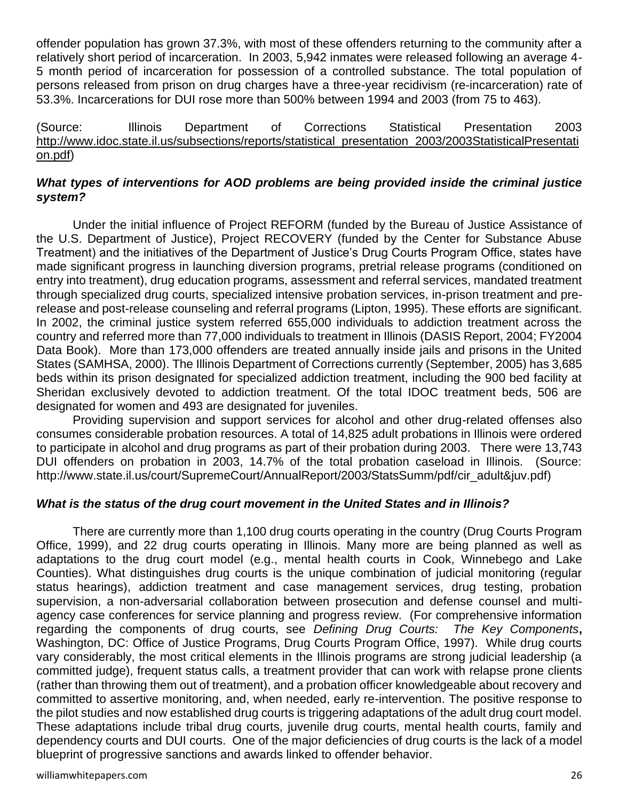offender population has grown 37.3%, with most of these offenders returning to the community after a relatively short period of incarceration. In 2003, 5,942 inmates were released following an average 4- 5 month period of incarceration for possession of a controlled substance. The total population of persons released from prison on drug charges have a three-year recidivism (re-incarceration) rate of 53.3%. Incarcerations for DUI rose more than 500% between 1994 and 2003 (from 75 to 463).

(Source: Illinois Department of Corrections Statistical Presentation 2003 [http://www.idoc.state.il.us/subsections/reports/statistical\\_presentation\\_2003/2003StatisticalPresentati](http://www.idoc.state.il.us/subsections/reports/statistical_presentation_2003/2003StatisticalPresentation.pdf)  $\overline{\text{on}}$ .pdf)

## *What types of interventions for AOD problems are being provided inside the criminal justice system?*

Under the initial influence of Project REFORM (funded by the Bureau of Justice Assistance of the U.S. Department of Justice), Project RECOVERY (funded by the Center for Substance Abuse Treatment) and the initiatives of the Department of Justice's Drug Courts Program Office, states have made significant progress in launching diversion programs, pretrial release programs (conditioned on entry into treatment), drug education programs, assessment and referral services, mandated treatment through specialized drug courts, specialized intensive probation services, in-prison treatment and prerelease and post-release counseling and referral programs (Lipton, 1995). These efforts are significant. In 2002, the criminal justice system referred 655,000 individuals to addiction treatment across the country and referred more than 77,000 individuals to treatment in Illinois (DASIS Report, 2004; FY2004 Data Book). More than 173,000 offenders are treated annually inside jails and prisons in the United States (SAMHSA, 2000). The Illinois Department of Corrections currently (September, 2005) has 3,685 beds within its prison designated for specialized addiction treatment, including the 900 bed facility at Sheridan exclusively devoted to addiction treatment. Of the total IDOC treatment beds, 506 are designated for women and 493 are designated for juveniles.

Providing supervision and support services for alcohol and other drug-related offenses also consumes considerable probation resources. A total of 14,825 adult probations in Illinois were ordered to participate in alcohol and drug programs as part of their probation during 2003. There were 13,743 DUI offenders on probation in 2003, 14.7% of the total probation caseload in Illinois. (Source: http://www.state.il.us/court/SupremeCourt/AnnualReport/2003/StatsSumm/pdf/cir\_adult&juv.pdf)

### *What is the status of the drug court movement in the United States and in Illinois?*

There are currently more than 1,100 drug courts operating in the country (Drug Courts Program Office, 1999), and 22 drug courts operating in Illinois. Many more are being planned as well as adaptations to the drug court model (e.g., mental health courts in Cook, Winnebego and Lake Counties). What distinguishes drug courts is the unique combination of judicial monitoring (regular status hearings), addiction treatment and case management services, drug testing, probation supervision, a non-adversarial collaboration between prosecution and defense counsel and multiagency case conferences for service planning and progress review. (For comprehensive information regarding the components of drug courts, see *Defining Drug Courts: The Key Components***,**  Washington, DC: Office of Justice Programs, Drug Courts Program Office, 1997). While drug courts vary considerably, the most critical elements in the Illinois programs are strong judicial leadership (a committed judge), frequent status calls, a treatment provider that can work with relapse prone clients (rather than throwing them out of treatment), and a probation officer knowledgeable about recovery and committed to assertive monitoring, and, when needed, early re-intervention. The positive response to the pilot studies and now established drug courts is triggering adaptations of the adult drug court model. These adaptations include tribal drug courts, juvenile drug courts, mental health courts, family and dependency courts and DUI courts. One of the major deficiencies of drug courts is the lack of a model blueprint of progressive sanctions and awards linked to offender behavior.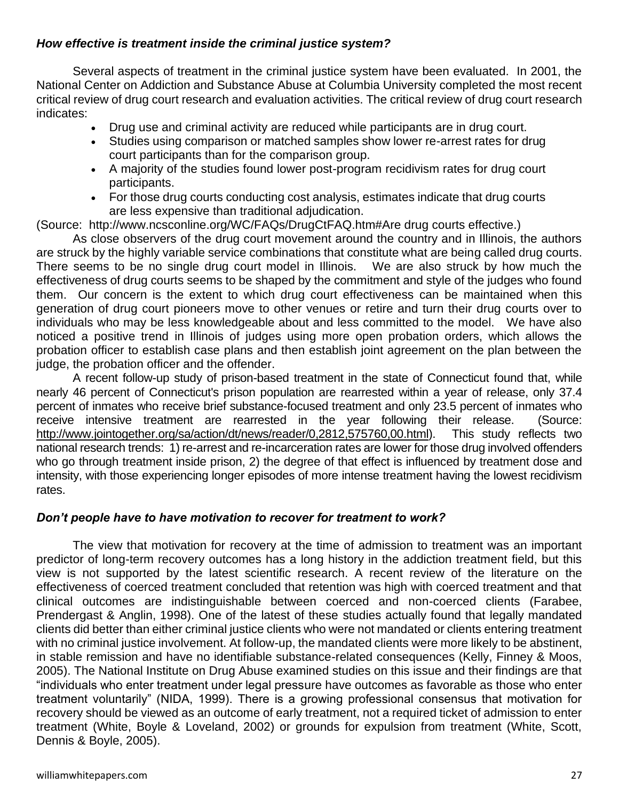## *How effective is treatment inside the criminal justice system?*

Several aspects of treatment in the criminal justice system have been evaluated. In 2001, the National Center on Addiction and Substance Abuse at Columbia University completed the most recent critical review of drug court research and evaluation activities. The critical review of drug court research indicates:

- Drug use and criminal activity are reduced while participants are in drug court.
- Studies using comparison or matched samples show lower re-arrest rates for drug court participants than for the comparison group.
- A majority of the studies found lower post-program recidivism rates for drug court participants.
- For those drug courts conducting cost analysis, estimates indicate that drug courts are less expensive than traditional adjudication.

(Source: http://www.ncsconline.org/WC/FAQs/DrugCtFAQ.htm#Are drug courts effective.)

As close observers of the drug court movement around the country and in Illinois, the authors are struck by the highly variable service combinations that constitute what are being called drug courts. There seems to be no single drug court model in Illinois. We are also struck by how much the effectiveness of drug courts seems to be shaped by the commitment and style of the judges who found them. Our concern is the extent to which drug court effectiveness can be maintained when this generation of drug court pioneers move to other venues or retire and turn their drug courts over to individuals who may be less knowledgeable about and less committed to the model. We have also noticed a positive trend in Illinois of judges using more open probation orders, which allows the probation officer to establish case plans and then establish joint agreement on the plan between the judge, the probation officer and the offender.

A recent follow-up study of prison-based treatment in the state of Connecticut found that, while nearly 46 percent of Connecticut's prison population are rearrested within a year of release, only 37.4 percent of inmates who receive brief substance-focused treatment and only 23.5 percent of inmates who receive intensive treatment are rearrested in the year following their release. (Source: [http://www.jointogether.org/sa/action/dt/news/reader/0,2812,575760,00.html\)](http://www.jointogether.org/sa/action/dt/news/reader/0,2812,575760,00.html). This study reflects two national research trends: 1) re-arrest and re-incarceration rates are lower for those drug involved offenders who go through treatment inside prison, 2) the degree of that effect is influenced by treatment dose and intensity, with those experiencing longer episodes of more intense treatment having the lowest recidivism rates.

### *Don't people have to have motivation to recover for treatment to work?*

The view that motivation for recovery at the time of admission to treatment was an important predictor of long-term recovery outcomes has a long history in the addiction treatment field, but this view is not supported by the latest scientific research. A recent review of the literature on the effectiveness of coerced treatment concluded that retention was high with coerced treatment and that clinical outcomes are indistinguishable between coerced and non-coerced clients (Farabee, Prendergast & Anglin, 1998). One of the latest of these studies actually found that legally mandated clients did better than either criminal justice clients who were not mandated or clients entering treatment with no criminal justice involvement. At follow-up, the mandated clients were more likely to be abstinent, in stable remission and have no identifiable substance-related consequences (Kelly, Finney & Moos, 2005). The National Institute on Drug Abuse examined studies on this issue and their findings are that "individuals who enter treatment under legal pressure have outcomes as favorable as those who enter treatment voluntarily" (NIDA, 1999). There is a growing professional consensus that motivation for recovery should be viewed as an outcome of early treatment, not a required ticket of admission to enter treatment (White, Boyle & Loveland, 2002) or grounds for expulsion from treatment (White, Scott, Dennis & Boyle, 2005).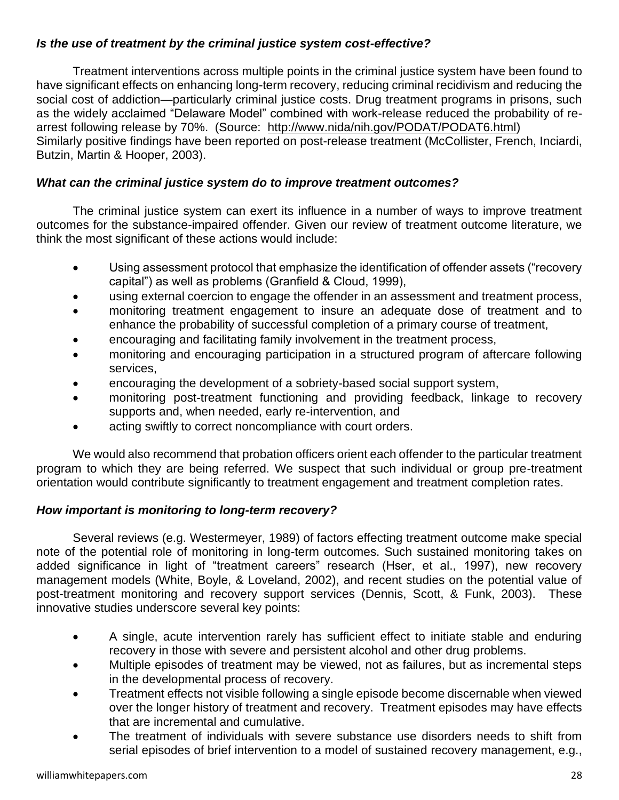# *Is the use of treatment by the criminal justice system cost-effective?*

Treatment interventions across multiple points in the criminal justice system have been found to have significant effects on enhancing long-term recovery, reducing criminal recidivism and reducing the social cost of addiction—particularly criminal justice costs. Drug treatment programs in prisons, such as the widely acclaimed "Delaware Model" combined with work-release reduced the probability of rearrest following release by 70%. (Source: [http://www.nida/nih.gov/PODAT/PODAT6.html\)](http://www.nida/nih.gov/PODAT/PODAT6.html) Similarly positive findings have been reported on post-release treatment (McCollister, French, Inciardi, Butzin, Martin & Hooper, 2003).

# *What can the criminal justice system do to improve treatment outcomes?*

The criminal justice system can exert its influence in a number of ways to improve treatment outcomes for the substance-impaired offender. Given our review of treatment outcome literature, we think the most significant of these actions would include:

- Using assessment protocol that emphasize the identification of offender assets ("recovery capital") as well as problems (Granfield & Cloud, 1999),
- using external coercion to engage the offender in an assessment and treatment process,
- monitoring treatment engagement to insure an adequate dose of treatment and to enhance the probability of successful completion of a primary course of treatment,
- encouraging and facilitating family involvement in the treatment process,
- monitoring and encouraging participation in a structured program of aftercare following services,
- encouraging the development of a sobriety-based social support system,
- monitoring post-treatment functioning and providing feedback, linkage to recovery supports and, when needed, early re-intervention, and
- acting swiftly to correct noncompliance with court orders.

We would also recommend that probation officers orient each offender to the particular treatment program to which they are being referred. We suspect that such individual or group pre-treatment orientation would contribute significantly to treatment engagement and treatment completion rates.

# *How important is monitoring to long-term recovery?*

Several reviews (e.g. Westermeyer, 1989) of factors effecting treatment outcome make special note of the potential role of monitoring in long-term outcomes. Such sustained monitoring takes on added significance in light of "treatment careers" research (Hser, et al., 1997), new recovery management models (White, Boyle, & Loveland, 2002), and recent studies on the potential value of post-treatment monitoring and recovery support services (Dennis, Scott, & Funk, 2003). These innovative studies underscore several key points:

- A single, acute intervention rarely has sufficient effect to initiate stable and enduring recovery in those with severe and persistent alcohol and other drug problems.
- Multiple episodes of treatment may be viewed, not as failures, but as incremental steps in the developmental process of recovery.
- Treatment effects not visible following a single episode become discernable when viewed over the longer history of treatment and recovery. Treatment episodes may have effects that are incremental and cumulative.
- The treatment of individuals with severe substance use disorders needs to shift from serial episodes of brief intervention to a model of sustained recovery management, e.g.,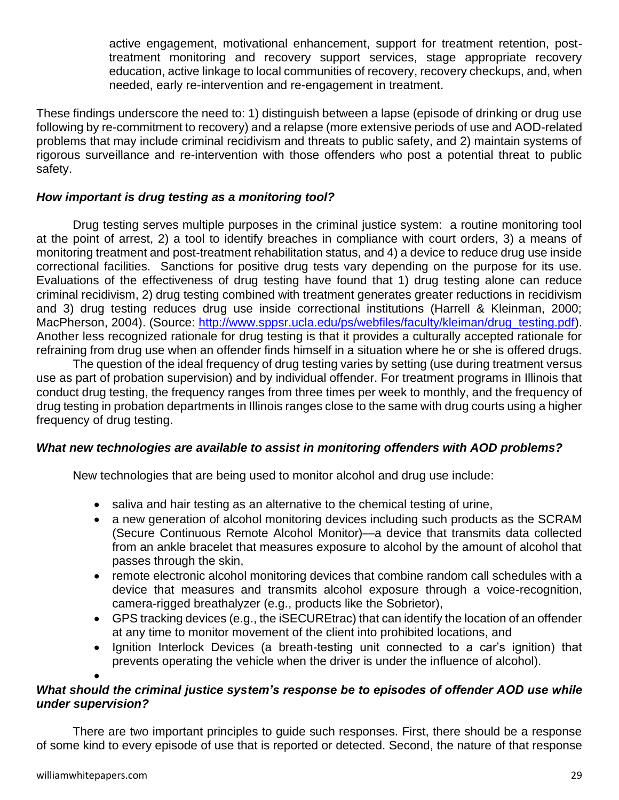active engagement, motivational enhancement, support for treatment retention, posttreatment monitoring and recovery support services, stage appropriate recovery education, active linkage to local communities of recovery, recovery checkups, and, when needed, early re-intervention and re-engagement in treatment.

These findings underscore the need to: 1) distinguish between a lapse (episode of drinking or drug use following by re-commitment to recovery) and a relapse (more extensive periods of use and AOD-related problems that may include criminal recidivism and threats to public safety, and 2) maintain systems of rigorous surveillance and re-intervention with those offenders who post a potential threat to public safety.

## *How important is drug testing as a monitoring tool?*

Drug testing serves multiple purposes in the criminal justice system: a routine monitoring tool at the point of arrest, 2) a tool to identify breaches in compliance with court orders, 3) a means of monitoring treatment and post-treatment rehabilitation status, and 4) a device to reduce drug use inside correctional facilities. Sanctions for positive drug tests vary depending on the purpose for its use. Evaluations of the effectiveness of drug testing have found that 1) drug testing alone can reduce criminal recidivism, 2) drug testing combined with treatment generates greater reductions in recidivism and 3) drug testing reduces drug use inside correctional institutions (Harrell & Kleinman, 2000; MacPherson, 2004). (Source: [http://www.sppsr.ucla.edu/ps/webfiles/faculty/kleiman/drug\\_testing.pdf\)](http://www.sppsr.ucla.edu/ps/webfiles/faculty/kleiman/drug_testing.pdf). Another less recognized rationale for drug testing is that it provides a culturally accepted rationale for refraining from drug use when an offender finds himself in a situation where he or she is offered drugs.

The question of the ideal frequency of drug testing varies by setting (use during treatment versus use as part of probation supervision) and by individual offender. For treatment programs in Illinois that conduct drug testing, the frequency ranges from three times per week to monthly, and the frequency of drug testing in probation departments in Illinois ranges close to the same with drug courts using a higher frequency of drug testing.

# *What new technologies are available to assist in monitoring offenders with AOD problems?*

New technologies that are being used to monitor alcohol and drug use include:

- saliva and hair testing as an alternative to the chemical testing of urine,
- a new generation of alcohol monitoring devices including such products as the SCRAM (Secure Continuous Remote Alcohol Monitor)—a device that transmits data collected from an ankle bracelet that measures exposure to alcohol by the amount of alcohol that passes through the skin,
- remote electronic alcohol monitoring devices that combine random call schedules with a device that measures and transmits alcohol exposure through a voice-recognition, camera-rigged breathalyzer (e.g., products like the Sobrietor),
- GPS tracking devices (e.g., the iSECUREtrac) that can identify the location of an offender at any time to monitor movement of the client into prohibited locations, and
- Ignition Interlock Devices (a breath-testing unit connected to a car's ignition) that prevents operating the vehicle when the driver is under the influence of alcohol).

#### • *What should the criminal justice system's response be to episodes of offender AOD use while under supervision?*

There are two important principles to guide such responses. First, there should be a response of some kind to every episode of use that is reported or detected. Second, the nature of that response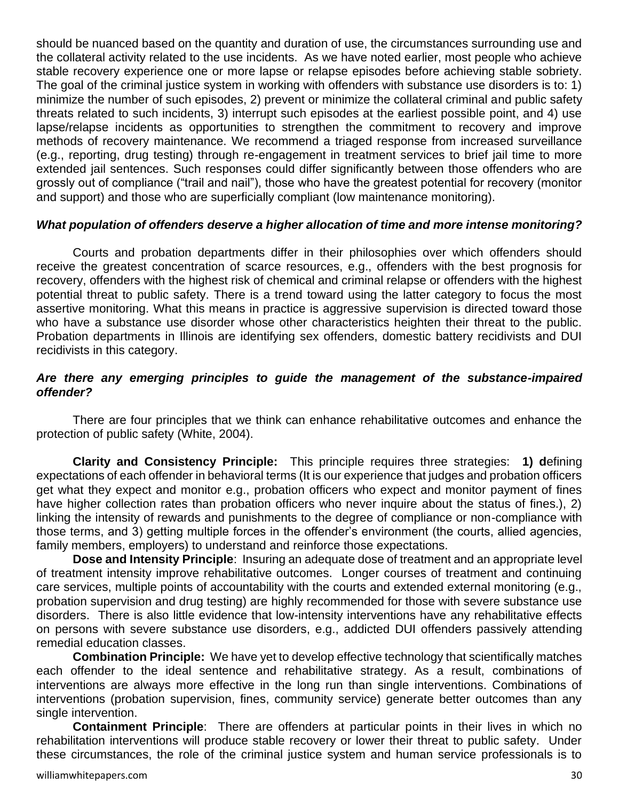should be nuanced based on the quantity and duration of use, the circumstances surrounding use and the collateral activity related to the use incidents. As we have noted earlier, most people who achieve stable recovery experience one or more lapse or relapse episodes before achieving stable sobriety. The goal of the criminal justice system in working with offenders with substance use disorders is to: 1) minimize the number of such episodes, 2) prevent or minimize the collateral criminal and public safety threats related to such incidents, 3) interrupt such episodes at the earliest possible point, and 4) use lapse/relapse incidents as opportunities to strengthen the commitment to recovery and improve methods of recovery maintenance. We recommend a triaged response from increased surveillance (e.g., reporting, drug testing) through re-engagement in treatment services to brief jail time to more extended jail sentences. Such responses could differ significantly between those offenders who are grossly out of compliance ("trail and nail"), those who have the greatest potential for recovery (monitor and support) and those who are superficially compliant (low maintenance monitoring).

#### *What population of offenders deserve a higher allocation of time and more intense monitoring?*

Courts and probation departments differ in their philosophies over which offenders should receive the greatest concentration of scarce resources, e.g., offenders with the best prognosis for recovery, offenders with the highest risk of chemical and criminal relapse or offenders with the highest potential threat to public safety. There is a trend toward using the latter category to focus the most assertive monitoring. What this means in practice is aggressive supervision is directed toward those who have a substance use disorder whose other characteristics heighten their threat to the public. Probation departments in Illinois are identifying sex offenders, domestic battery recidivists and DUI recidivists in this category.

#### *Are there any emerging principles to guide the management of the substance-impaired offender?*

There are four principles that we think can enhance rehabilitative outcomes and enhance the protection of public safety (White, 2004).

**Clarity and Consistency Principle:** This principle requires three strategies: **1) d**efining expectations of each offender in behavioral terms (It is our experience that judges and probation officers get what they expect and monitor e.g., probation officers who expect and monitor payment of fines have higher collection rates than probation officers who never inquire about the status of fines.), 2) linking the intensity of rewards and punishments to the degree of compliance or non-compliance with those terms, and 3) getting multiple forces in the offender's environment (the courts, allied agencies, family members, employers) to understand and reinforce those expectations.

**Dose and Intensity Principle**: Insuring an adequate dose of treatment and an appropriate level of treatment intensity improve rehabilitative outcomes. Longer courses of treatment and continuing care services, multiple points of accountability with the courts and extended external monitoring (e.g., probation supervision and drug testing) are highly recommended for those with severe substance use disorders. There is also little evidence that low-intensity interventions have any rehabilitative effects on persons with severe substance use disorders, e.g., addicted DUI offenders passively attending remedial education classes.

**Combination Principle:** We have yet to develop effective technology that scientifically matches each offender to the ideal sentence and rehabilitative strategy. As a result, combinations of interventions are always more effective in the long run than single interventions. Combinations of interventions (probation supervision, fines, community service) generate better outcomes than any single intervention.

**Containment Principle**: There are offenders at particular points in their lives in which no rehabilitation interventions will produce stable recovery or lower their threat to public safety. Under these circumstances, the role of the criminal justice system and human service professionals is to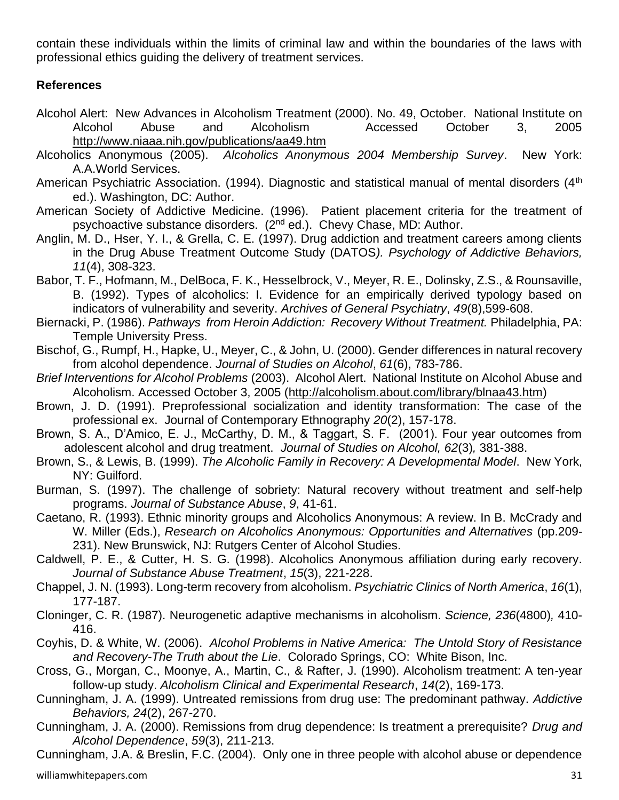contain these individuals within the limits of criminal law and within the boundaries of the laws with professional ethics guiding the delivery of treatment services.

## **References**

- Alcohol Alert: New Advances in Alcoholism Treatment (2000). No. 49, October. National Institute on Alcohol Abuse and Alcoholism Accessed October 3, 2005 <http://www.niaaa.nih.gov/publications/aa49.htm>
- Alcoholics Anonymous (2005). *Alcoholics Anonymous 2004 Membership Survey*. New York: A.A.World Services.
- American Psychiatric Association. (1994). Diagnostic and statistical manual of mental disorders (4<sup>th</sup>) ed.). Washington, DC: Author.
- American Society of Addictive Medicine. (1996). Patient placement criteria for the treatment of psychoactive substance disorders.  $(2^{nd}$  ed.). Chevy Chase, MD: Author.
- Anglin, M. D., Hser, Y. I., & Grella, C. E. (1997). Drug addiction and treatment careers among clients in the Drug Abuse Treatment Outcome Study (DATOS*). Psychology of Addictive Behaviors, 11*(4), 308-323.
- Babor, T. F., Hofmann, M., DelBoca, F. K., Hesselbrock, V., Meyer, R. E., Dolinsky, Z.S., & Rounsaville, B. (1992). Types of alcoholics: I. Evidence for an empirically derived typology based on indicators of vulnerability and severity. *Archives of General Psychiatry*, *49*(8),599-608.
- Biernacki, P. (1986). *Pathways from Heroin Addiction: Recovery Without Treatment.* Philadelphia, PA: Temple University Press.
- Bischof, G., Rumpf, H., Hapke, U., Meyer, C., & John, U. (2000). Gender differences in natural recovery from alcohol dependence. *Journal of Studies on Alcohol*, *61*(6), 783-786.
- *Brief Interventions for Alcohol Problems* (2003). Alcohol Alert. National Institute on Alcohol Abuse and Alcoholism. Accessed October 3, 2005 [\(http://alcoholism.about.com/library/blnaa43.htm\)](http://alcoholism.about.com/library/blnaa43.htm)
- Brown, J. D. (1991). Preprofessional socialization and identity transformation: The case of the professional ex. Journal of Contemporary Ethnography *20*(2), 157-178.
- Brown, S. A., D'Amico, E. J., McCarthy, D. M., & Taggart, S. F. (2001). Four year outcomes from adolescent alcohol and drug treatment. *Journal of Studies on Alcohol, 62*(3)*,* 381-388.
- Brown, S., & Lewis, B. (1999). *The Alcoholic Family in Recovery: A Developmental Model*. New York, NY: Guilford.
- Burman, S. (1997). The challenge of sobriety: Natural recovery without treatment and self-help programs. *Journal of Substance Abuse*, *9*, 41-61.
- Caetano, R. (1993). Ethnic minority groups and Alcoholics Anonymous: A review. In B. McCrady and W. Miller (Eds.), *Research on Alcoholics Anonymous: Opportunities and Alternatives* (pp.209- 231). New Brunswick, NJ: Rutgers Center of Alcohol Studies.

Caldwell, P. E., & Cutter, H. S. G. (1998). Alcoholics Anonymous affiliation during early recovery. *Journal of Substance Abuse Treatment*, *15*(3), 221-228.

Chappel, J. N. (1993). Long-term recovery from alcoholism. *Psychiatric Clinics of North America*, *16*(1), 177-187.

Cloninger, C. R. (1987). Neurogenetic adaptive mechanisms in alcoholism. *Science, 236*(4800)*,* 410- 416.

- Coyhis, D. & White, W. (2006). *Alcohol Problems in Native America: The Untold Story of Resistance and Recovery-The Truth about the Lie*. Colorado Springs, CO: White Bison, Inc.
- Cross, G., Morgan, C., Moonye, A., Martin, C., & Rafter, J. (1990). Alcoholism treatment: A ten-year follow-up study. *Alcoholism Clinical and Experimental Research*, *14*(2), 169-173.
- Cunningham, J. A. (1999). Untreated remissions from drug use: The predominant pathway. *Addictive Behaviors, 24*(2), 267-270.
- Cunningham, J. A. (2000). Remissions from drug dependence: Is treatment a prerequisite? *Drug and Alcohol Dependence*, *59*(3), 211-213.

Cunningham, J.A. & Breslin, F.C. (2004). Only one in three people with alcohol abuse or dependence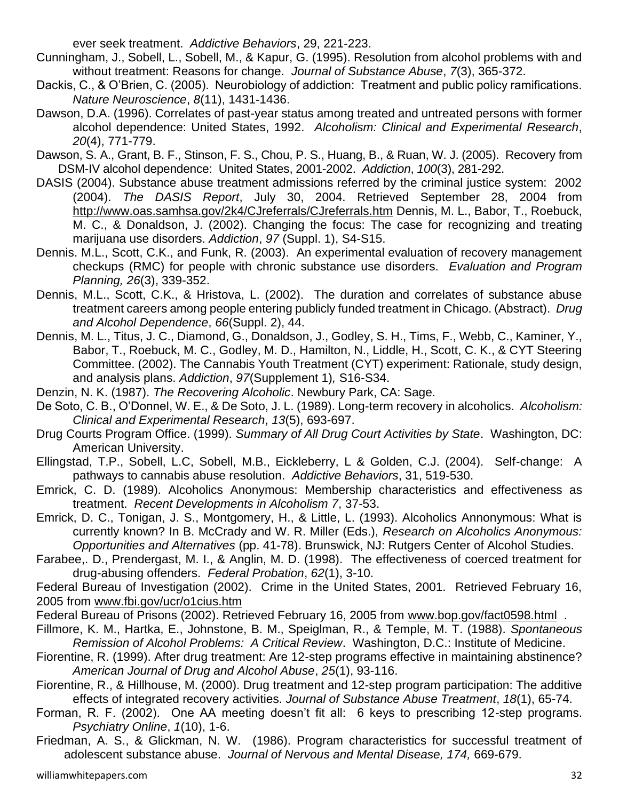ever seek treatment. *Addictive Behaviors*, 29, 221-223.

- Cunningham, J., Sobell, L., Sobell, M., & Kapur, G. (1995). Resolution from alcohol problems with and without treatment: Reasons for change. *Journal of Substance Abuse*, *7*(3), 365-372.
- Dackis, C., & O'Brien, C. (2005). Neurobiology of addiction: Treatment and public policy ramifications. *Nature Neuroscience*, *8*(11), 1431-1436.
- Dawson, D.A. (1996). Correlates of past-year status among treated and untreated persons with former alcohol dependence: United States, 1992. *Alcoholism: Clinical and Experimental Research*, *20*(4), 771-779.

Dawson, S. A., Grant, B. F., Stinson, F. S., Chou, P. S., Huang, B., & Ruan, W. J. (2005). Recovery from DSM-IV alcohol dependence: United States, 2001-2002. *Addiction*, *100*(3), 281-292.

- DASIS (2004). Substance abuse treatment admissions referred by the criminal justice system: 2002 (2004). *The DASIS Report*, July 30, 2004. Retrieved September 28, 2004 from <http://www.oas.samhsa.gov/2k4/CJreferrals/CJreferrals.htm> Dennis, M. L., Babor, T., Roebuck, M. C., & Donaldson, J. (2002). Changing the focus: The case for recognizing and treating marijuana use disorders. *Addiction*, *97* (Suppl. 1), S4-S15.
- Dennis. M.L., Scott, C.K., and Funk, R. (2003). An experimental evaluation of recovery management checkups (RMC) for people with chronic substance use disorders. *Evaluation and Program Planning, 26*(3), 339-352.
- Dennis, M.L., Scott, C.K., & Hristova, L. (2002). The duration and correlates of substance abuse treatment careers among people entering publicly funded treatment in Chicago. (Abstract). *Drug and Alcohol Dependence*, *66*(Suppl. 2), 44.
- Dennis, M. L., Titus, J. C., Diamond, G., Donaldson, J., Godley, S. H., Tims, F., Webb, C., Kaminer, Y., Babor, T., Roebuck, M. C., Godley, M. D., Hamilton, N., Liddle, H., Scott, C. K., & CYT Steering Committee. (2002). The Cannabis Youth Treatment (CYT) experiment: Rationale, study design, and analysis plans. *Addiction*, *97*(Supplement 1)*,* S16-S34.
- Denzin, N. K. (1987). *The Recovering Alcoholic*. Newbury Park, CA: Sage.
- De Soto, C. B., O'Donnel, W. E., & De Soto, J. L. (1989). Long-term recovery in alcoholics. *Alcoholism: Clinical and Experimental Research*, *13*(5), 693-697.
- Drug Courts Program Office. (1999). *Summary of All Drug Court Activities by State*. Washington, DC: American University.
- Ellingstad, T.P., Sobell, L.C, Sobell, M.B., Eickleberry, L & Golden, C.J. (2004). Self-change: A pathways to cannabis abuse resolution. *Addictive Behaviors*, 31, 519-530.
- Emrick, C. D. (1989). Alcoholics Anonymous: Membership characteristics and effectiveness as treatment. *Recent Developments in Alcoholism 7*, 37-53.
- Emrick, D. C., Tonigan, J. S., Montgomery, H., & Little, L. (1993). Alcoholics Annonymous: What is currently known? In B. McCrady and W. R. Miller (Eds.), *Research on Alcoholics Anonymous: Opportunities and Alternatives* (pp. 41-78). Brunswick, NJ: Rutgers Center of Alcohol Studies.

Farabee,. D., Prendergast, M. I., & Anglin, M. D. (1998). The effectiveness of coerced treatment for drug-abusing offenders. *Federal Probation*, *62*(1), 3-10.

Federal Bureau of Investigation (2002). Crime in the United States, 2001. Retrieved February 16, 2005 from [www.fbi.gov/ucr/o1cius.htm](http://www.fbi.gov/ucr/o1cius.htm) 

- Federal Bureau of Prisons (2002). Retrieved February 16, 2005 from [www.bop.gov/fact0598.html](http://www.bop.gov/fact0598.html) .
- Fillmore, K. M., Hartka, E., Johnstone, B. M., Speiglman, R., & Temple, M. T. (1988). *Spontaneous Remission of Alcohol Problems: A Critical Review*. Washington, D.C.: Institute of Medicine.
- Fiorentine, R. (1999). After drug treatment: Are 12-step programs effective in maintaining abstinence? *American Journal of Drug and Alcohol Abuse*, *25*(1), 93-116.
- Fiorentine, R., & Hillhouse, M. (2000). Drug treatment and 12-step program participation: The additive effects of integrated recovery activities. *Journal of Substance Abuse Treatment*, *18*(1), 65-74.
- Forman, R. F. (2002). One AA meeting doesn't fit all: 6 keys to prescribing 12-step programs. *Psychiatry Online*, *1*(10), 1-6.
- Friedman, A. S., & Glickman, N. W. (1986). Program characteristics for successful treatment of adolescent substance abuse. *Journal of Nervous and Mental Disease, 174,* 669-679.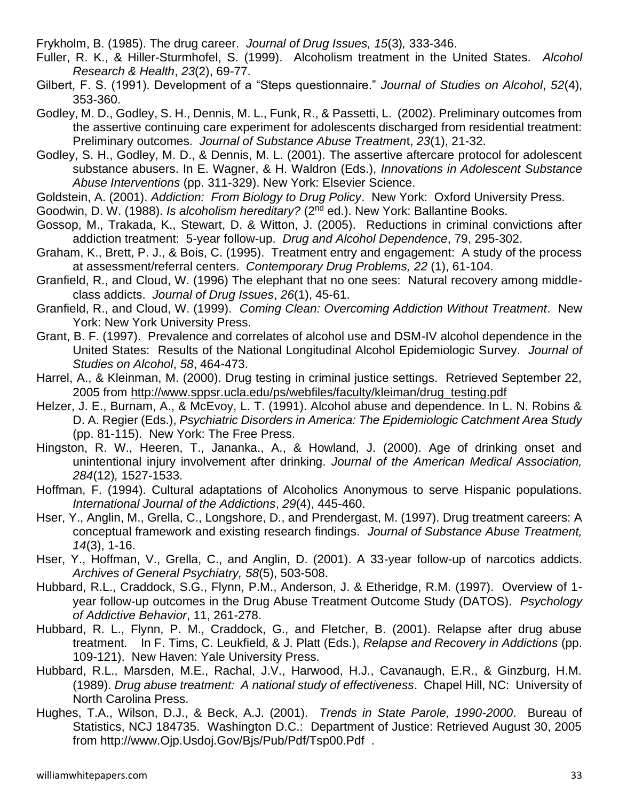Frykholm, B. (1985). The drug career. *Journal of Drug Issues, 15*(3)*,* 333-346.

- Fuller, R. K., & Hiller-Sturmhofel, S. (1999). Alcoholism treatment in the United States. *Alcohol Research & Health*, *23*(2), 69-77.
- Gilbert, F. S. (1991). Development of a "Steps questionnaire." *Journal of Studies on Alcohol*, *52*(4), 353-360.

Godley, M. D., Godley, S. H., Dennis, M. L., Funk, R., & Passetti, L. (2002). Preliminary outcomes from the assertive continuing care experiment for adolescents discharged from residential treatment: Preliminary outcomes. *Journal of Substance Abuse Treatmen*t, *23*(1), 21-32.

- Godley, S. H., Godley, M. D., & Dennis, M. L. (2001). The assertive aftercare protocol for adolescent substance abusers. In E. Wagner, & H. Waldron (Eds.), *Innovations in Adolescent Substance Abuse Interventions* (pp. 311-329). New York: Elsevier Science.
- Goldstein, A. (2001). *Addiction: From Biology to Drug Policy*. New York: Oxford University Press.

Goodwin, D. W. (1988). *Is alcoholism hereditary?* (2nd ed.). New York: Ballantine Books.

- Gossop, M., Trakada, K., Stewart, D. & Witton, J. (2005). Reductions in criminal convictions after addiction treatment: 5-year follow-up. *Drug and Alcohol Dependence*, 79, 295-302.
- Graham, K., Brett, P. J., & Bois, C. (1995). Treatment entry and engagement: A study of the process at assessment/referral centers. *Contemporary Drug Problems, 22* (1), 61-104.

Granfield, R., and Cloud, W. (1996) The elephant that no one sees: Natural recovery among middleclass addicts. *Journal of Drug Issues*, *26*(1), 45-61.

- Granfield, R., and Cloud, W. (1999). *Coming Clean: Overcoming Addiction Without Treatment*. New York: New York University Press.
- Grant, B. F. (1997). Prevalence and correlates of alcohol use and DSM-IV alcohol dependence in the United States: Results of the National Longitudinal Alcohol Epidemiologic Survey. *Journal of Studies on Alcohol*, *58*, 464-473.

Harrel, A., & Kleinman, M. (2000). Drug testing in criminal justice settings. Retrieved September 22, 2005 from [http://www.sppsr.ucla.edu/ps/webfiles/faculty/kleiman/drug\\_testing.pdf](http://www.sppsr.ucla.edu/ps/webfiles/faculty/kleiman/drug_testing.pdf)

- Helzer, J. E., Burnam, A., & McEvoy, L. T. (1991). Alcohol abuse and dependence. In L. N. Robins & D. A. Regier (Eds.), *Psychiatric Disorders in America: The Epidemiologic Catchment Area Study*  (pp. 81-115). New York: The Free Press.
- Hingston, R. W., Heeren, T., Jananka., A., & Howland, J. (2000). Age of drinking onset and unintentional injury involvement after drinking. *Journal of the American Medical Association, 284*(12)*,* 1527-1533.
- Hoffman, F. (1994). Cultural adaptations of Alcoholics Anonymous to serve Hispanic populations. *International Journal of the Addictions*, *29*(4), 445-460.
- Hser, Y., Anglin, M., Grella, C., Longshore, D., and Prendergast, M. (1997). Drug treatment careers: A conceptual framework and existing research findings. *Journal of Substance Abuse Treatment, 14*(3), 1-16.

Hser, Y., Hoffman, V., Grella, C., and Anglin, D. (2001). A 33-year follow-up of narcotics addicts. *Archives of General Psychiatry, 58*(5), 503-508.

- Hubbard, R.L., Craddock, S.G., Flynn, P.M., Anderson, J. & Etheridge, R.M. (1997). Overview of 1 year follow-up outcomes in the Drug Abuse Treatment Outcome Study (DATOS). *Psychology of Addictive Behavior*, 11, 261-278.
- Hubbard, R. L., Flynn, P. M., Craddock, G., and Fletcher, B. (2001). Relapse after drug abuse treatment. In F. Tims, C. Leukfield, & J. Platt (Eds.), *Relapse and Recovery in Addictions* (pp. 109-121). New Haven: Yale University Press.
- Hubbard, R.L., Marsden, M.E., Rachal, J.V., Harwood, H.J., Cavanaugh, E.R., & Ginzburg, H.M. (1989). *Drug abuse treatment: A national study of effectiveness*. Chapel Hill, NC: University of North Carolina Press.
- Hughes, T.A., Wilson, D.J., & Beck, A.J. (2001). *Trends in State Parole, 1990-2000*. Bureau of Statistics, NCJ 184735. Washington D.C.: Department of Justice: Retrieved August 30, 2005 from http://www.Ojp.Usdoj.Gov/Bjs/Pub/Pdf/Tsp00.Pdf .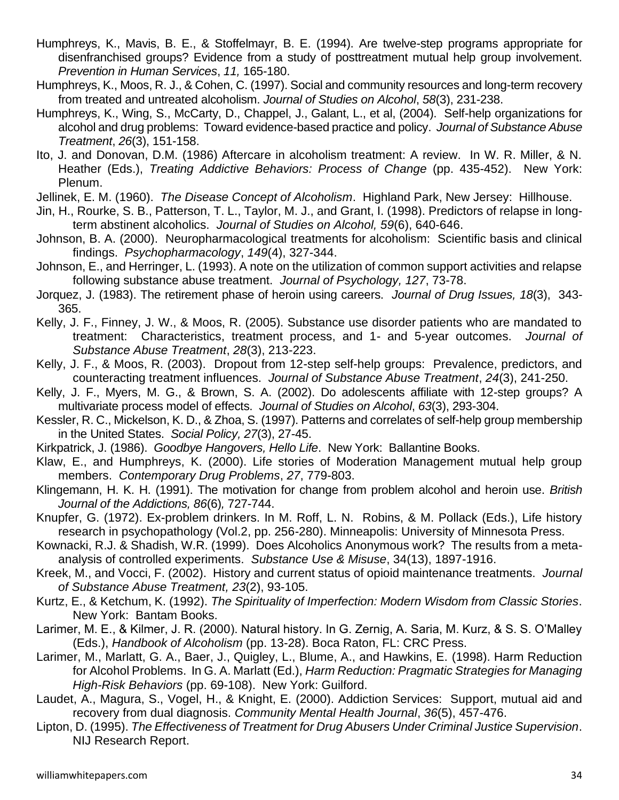- Humphreys, K., Mavis, B. E., & Stoffelmayr, B. E. (1994). Are twelve-step programs appropriate for disenfranchised groups? Evidence from a study of posttreatment mutual help group involvement. *Prevention in Human Services*, *11,* 165-180.
- Humphreys, K., Moos, R. J., & Cohen, C. (1997). Social and community resources and long-term recovery from treated and untreated alcoholism. *Journal of Studies on Alcohol*, *58*(3), 231-238.
- Humphreys, K., Wing, S., McCarty, D., Chappel, J., Galant, L., et al, (2004). Self-help organizations for alcohol and drug problems: Toward evidence-based practice and policy. *Journal of Substance Abuse Treatment*, *26*(3), 151-158.
- Ito, J. and Donovan, D.M. (1986) Aftercare in alcoholism treatment: A review. In W. R. Miller, & N. Heather (Eds.), *Treating Addictive Behaviors: Process of Change* (pp. 435-452). New York: Plenum.
- Jellinek, E. M. (1960). *The Disease Concept of Alcoholism*. Highland Park, New Jersey: Hillhouse.
- Jin, H., Rourke, S. B., Patterson, T. L., Taylor, M. J., and Grant, I. (1998). Predictors of relapse in longterm abstinent alcoholics. *Journal of Studies on Alcohol, 59*(6), 640-646.
- Johnson, B. A. (2000). Neuropharmacological treatments for alcoholism: Scientific basis and clinical findings. *Psychopharmacology*, *149*(4), 327-344.
- Johnson, E., and Herringer, L. (1993). A note on the utilization of common support activities and relapse following substance abuse treatment. *Journal of Psychology, 127*, 73-78.
- Jorquez, J. (1983). The retirement phase of heroin using careers. *Journal of Drug Issues, 18*(3), 343- 365.
- Kelly, J. F., Finney, J. W., & Moos, R. (2005). Substance use disorder patients who are mandated to treatment: Characteristics, treatment process, and 1- and 5-year outcomes. *Journal of Substance Abuse Treatment*, *28*(3), 213-223.
- Kelly, J. F., & Moos, R. (2003). Dropout from 12-step self-help groups: Prevalence, predictors, and counteracting treatment influences. *Journal of Substance Abuse Treatment*, *24*(3), 241-250.
- Kelly, J. F., Myers, M. G., & Brown, S. A. (2002). Do adolescents affiliate with 12-step groups? A multivariate process model of effects. *Journal of Studies on Alcohol*, *63*(3), 293-304.
- Kessler, R. C., Mickelson, K. D., & Zhoa, S. (1997). Patterns and correlates of self-help group membership in the United States. *Social Policy, 27*(3), 27-45.
- Kirkpatrick, J. (1986). *Goodbye Hangovers, Hello Life*. New York: Ballantine Books.
- Klaw, E., and Humphreys, K. (2000). Life stories of Moderation Management mutual help group members. *Contemporary Drug Problems*, *27*, 779-803.
- Klingemann, H. K. H. (1991). The motivation for change from problem alcohol and heroin use. *British Journal of the Addictions, 86*(6)*,* 727-744.
- Knupfer, G. (1972). Ex-problem drinkers. In M. Roff, L. N. Robins, & M. Pollack (Eds.), Life history research in psychopathology (Vol.2, pp. 256-280). Minneapolis: University of Minnesota Press.
- Kownacki, R.J. & Shadish, W.R. (1999). Does Alcoholics Anonymous work? The results from a metaanalysis of controlled experiments. *Substance Use & Misuse*, 34(13), 1897-1916.
- Kreek, M., and Vocci, F. (2002). History and current status of opioid maintenance treatments. *Journal of Substance Abuse Treatment, 23*(2), 93-105.
- Kurtz, E., & Ketchum, K. (1992). *The Spirituality of Imperfection: Modern Wisdom from Classic Stories*. New York: Bantam Books.
- Larimer, M. E., & Kilmer, J. R. (2000). Natural history. In G. Zernig, A. Saria, M. Kurz, & S. S. O'Malley (Eds.), *Handbook of Alcoholism* (pp. 13-28). Boca Raton, FL: CRC Press.
- Larimer, M., Marlatt, G. A., Baer, J., Quigley, L., Blume, A., and Hawkins, E. (1998). Harm Reduction for Alcohol Problems. In G. A. Marlatt (Ed.), *Harm Reduction: Pragmatic Strategies for Managing High-Risk Behaviors* (pp. 69-108). New York: Guilford.
- Laudet, A., Magura, S., Vogel, H., & Knight, E. (2000). Addiction Services: Support, mutual aid and recovery from dual diagnosis. *Community Mental Health Journal*, *36*(5), 457-476.
- Lipton, D. (1995). *The Effectiveness of Treatment for Drug Abusers Under Criminal Justice Supervision*. NIJ Research Report.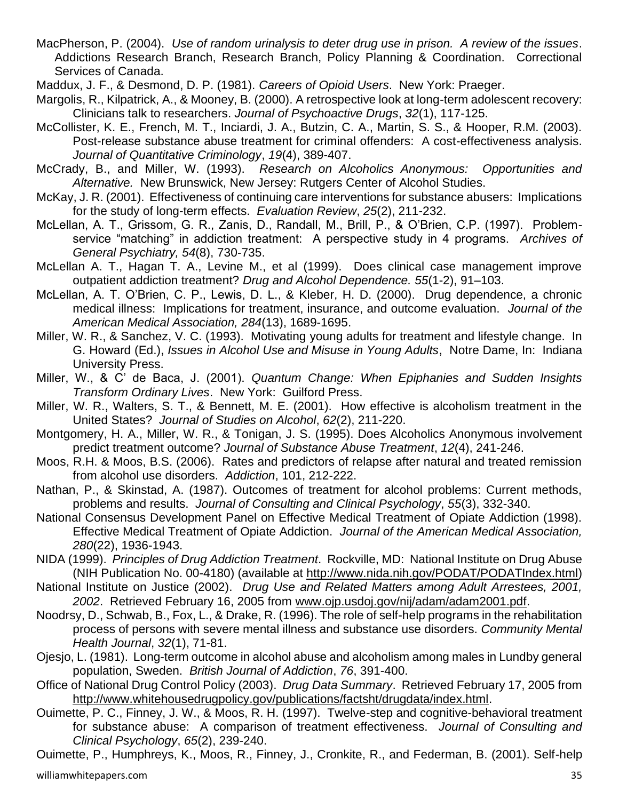- MacPherson, P. (2004). *Use of random urinalysis to deter drug use in prison. A review of the issues*. Addictions Research Branch, Research Branch, Policy Planning & Coordination. Correctional Services of Canada.
- Maddux, J. F., & Desmond, D. P. (1981). *Careers of Opioid Users*. New York: Praeger.
- Margolis, R., Kilpatrick, A., & Mooney, B. (2000). A retrospective look at long-term adolescent recovery: Clinicians talk to researchers. *Journal of Psychoactive Drugs*, *32*(1), 117-125.
- McCollister, K. E., French, M. T., Inciardi, J. A., Butzin, C. A., Martin, S. S., & Hooper, R.M. (2003). Post-release substance abuse treatment for criminal offenders: A cost-effectiveness analysis. *Journal of Quantitative Criminology*, *19*(4), 389-407.
- McCrady, B., and Miller, W. (1993). *Research on Alcoholics Anonymous: Opportunities and Alternative.* New Brunswick, New Jersey: Rutgers Center of Alcohol Studies.
- McKay, J. R. (2001). Effectiveness of continuing care interventions for substance abusers: Implications for the study of long-term effects. *Evaluation Review*, *25*(2), 211-232.
- McLellan, A. T., Grissom, G. R., Zanis, D., Randall, M., Brill, P., & O'Brien, C.P. (1997). Problemservice "matching" in addiction treatment: A perspective study in 4 programs. *Archives of General Psychiatry, 54*(8), 730-735.
- McLellan A. T., Hagan T. A., Levine M., et al (1999). Does clinical case management improve outpatient addiction treatment? *Drug and Alcohol Dependence. 55*(1-2), 91–103.
- McLellan, A. T. O'Brien, C. P., Lewis, D. L., & Kleber, H. D. (2000). Drug dependence, a chronic medical illness: Implications for treatment, insurance, and outcome evaluation. *Journal of the American Medical Association, 284*(13), 1689-1695.
- Miller, W. R., & Sanchez, V. C. (1993). Motivating young adults for treatment and lifestyle change. In G. Howard (Ed.), *Issues in Alcohol Use and Misuse in Young Adults*, Notre Dame, In: Indiana University Press.
- Miller, W., & C' de Baca, J. (2001). *Quantum Change: When Epiphanies and Sudden Insights Transform Ordinary Lives*. New York: Guilford Press.
- Miller, W. R., Walters, S. T., & Bennett, M. E. (2001). How effective is alcoholism treatment in the United States? *Journal of Studies on Alcohol*, *62*(2), 211-220.
- Montgomery, H. A., Miller, W. R., & Tonigan, J. S. (1995). Does Alcoholics Anonymous involvement predict treatment outcome? *Journal of Substance Abuse Treatment*, *12*(4), 241-246.
- Moos, R.H. & Moos, B.S. (2006). Rates and predictors of relapse after natural and treated remission from alcohol use disorders. *Addiction*, 101, 212-222.
- Nathan, P., & Skinstad, A. (1987). Outcomes of treatment for alcohol problems: Current methods, problems and results. *Journal of Consulting and Clinical Psychology*, *55*(3), 332-340.
- National Consensus Development Panel on Effective Medical Treatment of Opiate Addiction (1998). Effective Medical Treatment of Opiate Addiction. *Journal of the American Medical Association, 280*(22), 1936-1943.
- NIDA (1999). *Principles of Drug Addiction Treatment*. Rockville, MD: National Institute on Drug Abuse (NIH Publication No. 00-4180) (available at [http://www.nida.nih.gov/PODAT/PODATIndex.html\)](http://www.nida.nih.gov/PODAT/PODATIndex.html)
- National Institute on Justice (2002). *Drug Use and Related Matters among Adult Arrestees, 2001, 2002*. Retrieved February 16, 2005 from [www.ojp.usdoj.gov/nij/adam/adam2001.pdf.](http://www.ojp.usdoj.gov/nij/adam/adam2001.pdf)
- Noodrsy, D., Schwab, B., Fox, L., & Drake, R. (1996). The role of self-help programs in the rehabilitation process of persons with severe mental illness and substance use disorders. *Community Mental Health Journal*, *32*(1), 71-81.
- Ojesjo, L. (1981). Long-term outcome in alcohol abuse and alcoholism among males in Lundby general population, Sweden. *British Journal of Addiction*, *76*, 391-400.
- Office of National Drug Control Policy (2003). *Drug Data Summary*. Retrieved February 17, 2005 from [http://www.whitehousedrugpolicy.gov/publications/factsht/drugdata/index.html.](http://www.whitehousedrugpolicy.gov/publications/factsht/drugdata/index.html)
- Ouimette, P. C., Finney, J. W., & Moos, R. H. (1997). Twelve-step and cognitive-behavioral treatment for substance abuse: A comparison of treatment effectiveness. *Journal of Consulting and Clinical Psychology*, *65*(2), 239-240.

Ouimette, P., Humphreys, K., Moos, R., Finney, J., Cronkite, R., and Federman, B. (2001). Self-help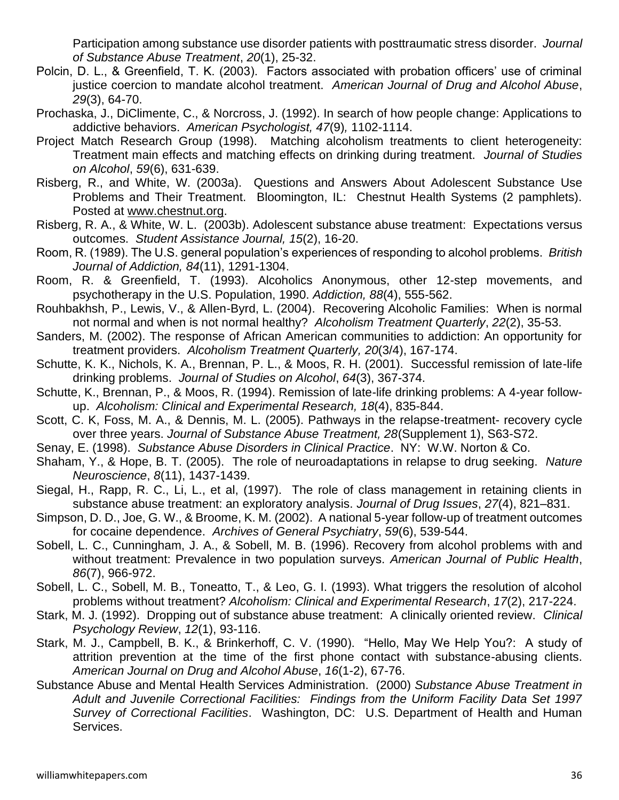Participation among substance use disorder patients with posttraumatic stress disorder. *Journal of Substance Abuse Treatment*, *20*(1), 25-32.

- Polcin, D. L., & Greenfield, T. K. (2003). Factors associated with probation officers' use of criminal justice coercion to mandate alcohol treatment. *American Journal of Drug and Alcohol Abuse*, *29*(3), 64-70.
- Prochaska, J., DiClimente, C., & Norcross, J. (1992). In search of how people change: Applications to addictive behaviors. *American Psychologist, 47*(9)*,* 1102-1114.
- Project Match Research Group (1998). Matching alcoholism treatments to client heterogeneity: Treatment main effects and matching effects on drinking during treatment. *Journal of Studies on Alcohol*, *59*(6), 631-639.
- Risberg, R., and White, W. (2003a). Questions and Answers About Adolescent Substance Use Problems and Their Treatment. Bloomington, IL: Chestnut Health Systems (2 pamphlets). Posted at [www.chestnut.org.](http://www.chestnut.org/)
- Risberg, R. A., & White, W. L. (2003b). Adolescent substance abuse treatment: Expectations versus outcomes. *Student Assistance Journal, 15*(2), 16-20.
- Room, R. (1989). The U.S. general population's experiences of responding to alcohol problems. *British Journal of Addiction, 84*(11), 1291-1304.
- Room, R. & Greenfield, T. (1993). Alcoholics Anonymous, other 12-step movements, and psychotherapy in the U.S. Population, 1990. *Addiction, 88*(4), 555-562.
- Rouhbakhsh, P., Lewis, V., & Allen-Byrd, L. (2004). Recovering Alcoholic Families: When is normal not normal and when is not normal healthy? *Alcoholism Treatment Quarterly*, *22*(2), 35-53.
- Sanders, M. (2002). The response of African American communities to addiction: An opportunity for treatment providers. *Alcoholism Treatment Quarterly, 20*(3/4), 167-174.
- Schutte, K. K., Nichols, K. A., Brennan, P. L., & Moos, R. H. (2001). Successful remission of late-life drinking problems. *Journal of Studies on Alcohol*, *64*(3), 367-374.
- Schutte, K., Brennan, P., & Moos, R. (1994). Remission of late-life drinking problems: A 4-year followup. *Alcoholism: Clinical and Experimental Research, 18*(4), 835-844.
- Scott, C. K, Foss, M. A., & Dennis, M. L. (2005). Pathways in the relapse-treatment- recovery cycle over three years. *Journal of Substance Abuse Treatment, 28*(Supplement 1), S63-S72.
- Senay, E. (1998). *Substance Abuse Disorders in Clinical Practice*. NY: W.W. Norton & Co.
- Shaham, Y., & Hope, B. T. (2005). The role of neuroadaptations in relapse to drug seeking. *Nature Neuroscience*, *8*(11), 1437-1439.
- Siegal, H., Rapp, R. C., Li, L., et al, (1997). The role of class management in retaining clients in substance abuse treatment: an exploratory analysis. *Journal of Drug Issues*, *27*(4), 821–831.
- Simpson, D. D., Joe, G. W., & Broome, K. M. (2002). A national 5-year follow-up of treatment outcomes for cocaine dependence. *Archives of General Psychiatry*, *59*(6), 539-544.
- Sobell, L. C., Cunningham, J. A., & Sobell, M. B. (1996). Recovery from alcohol problems with and without treatment: Prevalence in two population surveys. *American Journal of Public Health*, *86*(7), 966-972.
- Sobell, L. C., Sobell, M. B., Toneatto, T., & Leo, G. I. (1993). What triggers the resolution of alcohol problems without treatment? *Alcoholism: Clinical and Experimental Research*, *17*(2), 217-224.
- Stark, M. J. (1992). Dropping out of substance abuse treatment: A clinically oriented review. *Clinical Psychology Review*, *12*(1), 93-116.
- Stark, M. J., Campbell, B. K., & Brinkerhoff, C. V. (1990). "Hello, May We Help You?: A study of attrition prevention at the time of the first phone contact with substance-abusing clients. *American Journal on Drug and Alcohol Abuse*, *16*(1-2), 67-76.
- Substance Abuse and Mental Health Services Administration. (2000) *Substance Abuse Treatment in Adult and Juvenile Correctional Facilities: Findings from the Uniform Facility Data Set 1997 Survey of Correctional Facilities*. Washington, DC: U.S. Department of Health and Human Services.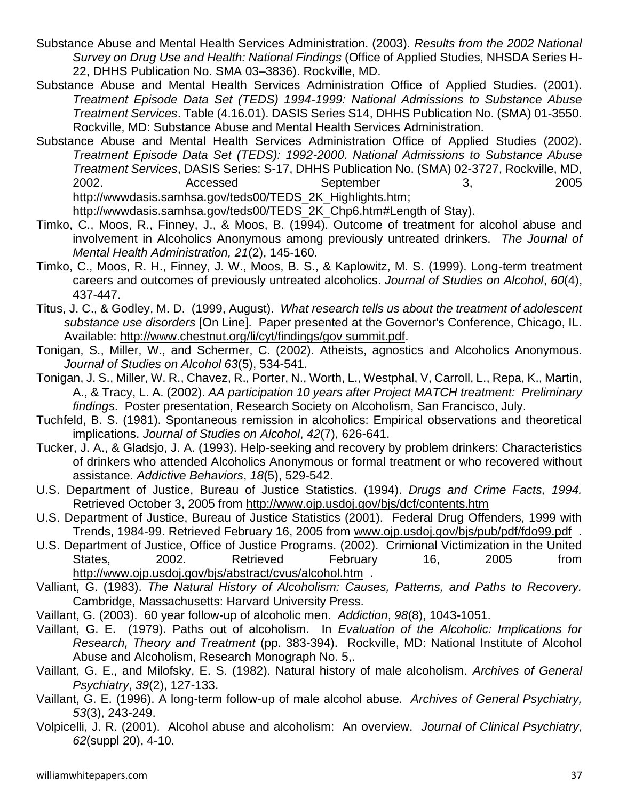- Substance Abuse and Mental Health Services Administration. (2003). *Results from the 2002 National Survey on Drug Use and Health: National Findings* (Office of Applied Studies, NHSDA Series H-22, DHHS Publication No. SMA 03–3836). Rockville, MD.
- Substance Abuse and Mental Health Services Administration Office of Applied Studies. (2001). *Treatment Episode Data Set (TEDS) 1994-1999: National Admissions to Substance Abuse Treatment Services*. Table (4.16.01). DASIS Series S14, DHHS Publication No. (SMA) 01-3550. Rockville, MD: Substance Abuse and Mental Health Services Administration.
- Substance Abuse and Mental Health Services Administration Office of Applied Studies (2002). *Treatment Episode Data Set (TEDS): 1992-2000. National Admissions to Substance Abuse Treatment Services*, DASIS Series: S-17, DHHS Publication No. (SMA) 02-3727, Rockville, MD, 2002. Accessed September 3, 2005 [http://wwwdasis.samhsa.gov/teds00/TEDS\\_2K\\_Highlights.htm;](http://wwwdasis.samhsa.gov/teds00/TEDS_2K_Highlights.htm) http://wwwdasis.samhsa.gov/teds00/TEDS 2K Chp6.htm#Length of Stay).
- Timko, C., Moos, R., Finney, J., & Moos, B. (1994). Outcome of treatment for alcohol abuse and involvement in Alcoholics Anonymous among previously untreated drinkers. *The Journal of Mental Health Administration, 21*(2), 145-160.
- Timko, C., Moos, R. H., Finney, J. W., Moos, B. S., & Kaplowitz, M. S. (1999). Long-term treatment careers and outcomes of previously untreated alcoholics. *Journal of Studies on Alcohol*, *60*(4), 437-447.
- Titus, J. C., & Godley, M. D. (1999, August). *What research tells us about the treatment of adolescent substance use disorders* [On Line]. Paper presented at the Governor's Conference, Chicago, IL. Available: [http://www.chestnut.org/li/cyt/findings/gov summit.pdf.](http://www.chestnut.org/li/cyt/findings/gov%20summit.pdf)
- Tonigan, S., Miller, W., and Schermer, C. (2002). Atheists, agnostics and Alcoholics Anonymous. *Journal of Studies on Alcohol 63*(5), 534-541.
- Tonigan, J. S., Miller, W. R., Chavez, R., Porter, N., Worth, L., Westphal, V, Carroll, L., Repa, K., Martin, A., & Tracy, L. A. (2002). *AA participation 10 years after Project MATCH treatment: Preliminary findings*. Poster presentation, Research Society on Alcoholism, San Francisco, July.
- Tuchfeld, B. S. (1981). Spontaneous remission in alcoholics: Empirical observations and theoretical implications. *Journal of Studies on Alcohol*, *42*(7), 626-641.
- Tucker, J. A., & Gladsjo, J. A. (1993). Help-seeking and recovery by problem drinkers: Characteristics of drinkers who attended Alcoholics Anonymous or formal treatment or who recovered without assistance. *Addictive Behaviors*, *18*(5), 529-542.
- U.S. Department of Justice, Bureau of Justice Statistics. (1994). *Drugs and Crime Facts, 1994.*  Retrieved October 3, 2005 from<http://www.ojp.usdoj.gov/bjs/dcf/contents.htm>
- U.S. Department of Justice, Bureau of Justice Statistics (2001). Federal Drug Offenders, 1999 with Trends, 1984-99. Retrieved February 16, 2005 from www.ojp.usdoj.gov/bjs/pub/pdf/fdo99.pdf.
- U.S. Department of Justice, Office of Justice Programs. (2002). Crimional Victimization in the United States, 2002. Retrieved February 16, 2005 from <http://www.ojp.usdoj.gov/bjs/abstract/cvus/alcohol.htm>.
- Valliant, G. (1983). *The Natural History of Alcoholism: Causes, Patterns, and Paths to Recovery.*  Cambridge, Massachusetts: Harvard University Press.
- Vaillant, G. (2003). 60 year follow-up of alcoholic men. *Addiction*, *98*(8), 1043-1051.
- Vaillant, G. E. (1979). Paths out of alcoholism. In *Evaluation of the Alcoholic: Implications for Research, Theory and Treatment* (pp. 383-394). Rockville, MD: National Institute of Alcohol Abuse and Alcoholism, Research Monograph No. 5,.
- Vaillant, G. E., and Milofsky, E. S. (1982). Natural history of male alcoholism. *Archives of General Psychiatry*, *39*(2), 127-133.
- Vaillant, G. E. (1996). A long-term follow-up of male alcohol abuse. *Archives of General Psychiatry, 53*(3), 243-249.
- Volpicelli, J. R. (2001). Alcohol abuse and alcoholism: An overview. *Journal of Clinical Psychiatry*, *62*(suppl 20), 4-10.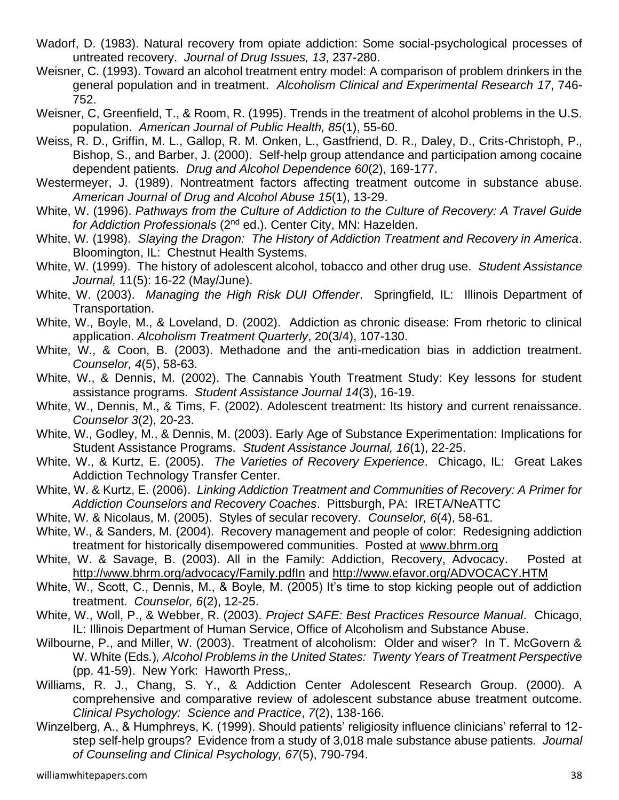- Wadorf, D. (1983). Natural recovery from opiate addiction: Some social-psychological processes of untreated recovery. *Journal of Drug Issues, 13*, 237-280.
- Weisner, C. (1993). Toward an alcohol treatment entry model: A comparison of problem drinkers in the general population and in treatment. *Alcoholism Clinical and Experimental Research 17*, 746- 752.
- Weisner, C, Greenfield, T., & Room, R. (1995). Trends in the treatment of alcohol problems in the U.S. population. *American Journal of Public Health, 85*(1), 55-60.
- Weiss, R. D., Griffin, M. L., Gallop, R. M. Onken, L., Gastfriend, D. R., Daley, D., Crits-Christoph, P., Bishop, S., and Barber, J. (2000). Self-help group attendance and participation among cocaine dependent patients. *Drug and Alcohol Dependence 60*(2), 169-177.
- Westermeyer, J. (1989). Nontreatment factors affecting treatment outcome in substance abuse. *American Journal of Drug and Alcohol Abuse 15*(1), 13-29.
- White, W. (1996). *Pathways from the Culture of Addiction to the Culture of Recovery: A Travel Guide for Addiction Professionals* (2nd ed.). Center City, MN: Hazelden.
- White, W. (1998). *Slaying the Dragon: The History of Addiction Treatment and Recovery in America*. Bloomington, IL: Chestnut Health Systems.
- White, W. (1999). The history of adolescent alcohol, tobacco and other drug use. *Student Assistance Journal,* 11(5): 16-22 (May/June).
- White, W. (2003). *Managing the High Risk DUI Offender*. Springfield, IL: Illinois Department of Transportation.
- White, W., Boyle, M., & Loveland, D. (2002). Addiction as chronic disease: From rhetoric to clinical application. *Alcoholism Treatment Quarterly*, 20(3/4), 107-130.
- White, W., & Coon, B. (2003). Methadone and the anti-medication bias in addiction treatment. *Counselor, 4*(5), 58-63.
- White, W., & Dennis, M. (2002). The Cannabis Youth Treatment Study: Key lessons for student assistance programs. *Student Assistance Journal 14*(3), 16-19.
- White, W., Dennis, M., & Tims, F. (2002). Adolescent treatment: Its history and current renaissance. *Counselor 3*(2), 20-23.
- White, W., Godley, M., & Dennis, M. (2003). Early Age of Substance Experimentation: Implications for Student Assistance Programs. *Student Assistance Journal, 16*(1), 22-25.
- White, W., & Kurtz, E. (2005). *The Varieties of Recovery Experience*. Chicago, IL: Great Lakes Addiction Technology Transfer Center.
- White, W. & Kurtz, E. (2006). *Linking Addiction Treatment and Communities of Recovery: A Primer for Addiction Counselors and Recovery Coaches*. Pittsburgh, PA: IRETA/NeATTC
- White, W. & Nicolaus, M. (2005). Styles of secular recovery. *Counselor, 6*(4), 58-61.
- White, W., & Sanders, M. (2004). Recovery management and people of color: Redesigning addiction treatment for historically disempowered communities. Posted at [www.bhrm.org](http://www.bhrm.org/)
- White, W. & Savage, B. (2003). All in the Family: Addiction, Recovery, Advocacy. Posted at <http://www.bhrm.org/advocacy/Family.pdfIn> and<http://www.efavor.org/ADVOCACY.HTM>
- White, W., Scott, C., Dennis, M., & Boyle, M. (2005) It's time to stop kicking people out of addiction treatment. *Counselor, 6*(2), 12-25.
- White, W., Woll, P., & Webber, R. (2003). *Project SAFE: Best Practices Resource Manual*. Chicago, IL: Illinois Department of Human Service, Office of Alcoholism and Substance Abuse.
- Wilbourne, P., and Miller, W. (2003). Treatment of alcoholism: Older and wiser? In T. McGovern & W. White (Eds*.*)*, Alcohol Problems in the United States: Twenty Years of Treatment Perspective*  (pp. 41-59). New York: Haworth Press,.
- Williams, R. J., Chang, S. Y., & Addiction Center Adolescent Research Group. (2000). A comprehensive and comparative review of adolescent substance abuse treatment outcome. *Clinical Psychology: Science and Practice*, *7*(2), 138-166.
- Winzelberg, A., & Humphreys, K. (1999). Should patients' religiosity influence clinicians' referral to 12 step self-help groups? Evidence from a study of 3,018 male substance abuse patients. *Journal of Counseling and Clinical Psychology, 67*(5), 790-794.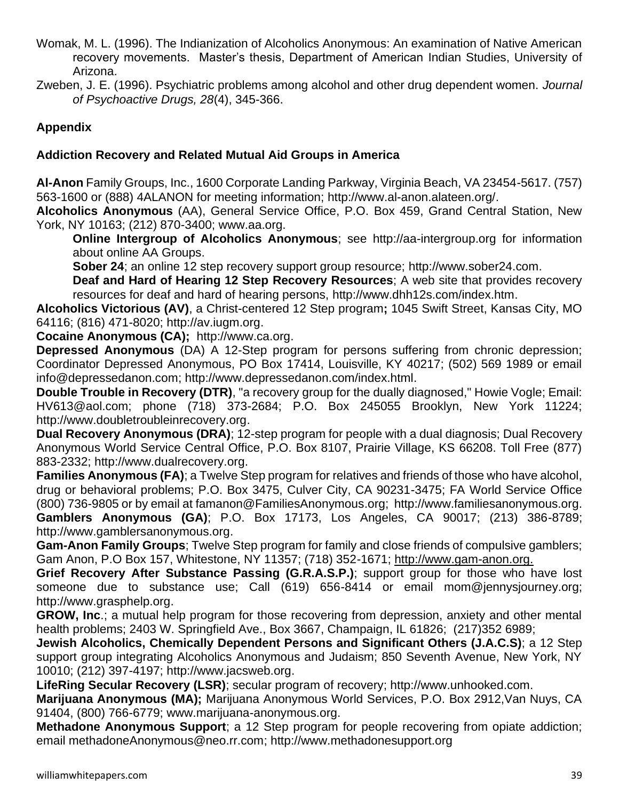- Womak, M. L. (1996). The Indianization of Alcoholics Anonymous: An examination of Native American recovery movements. Master's thesis, Department of American Indian Studies, University of Arizona.
- Zweben, J. E. (1996). Psychiatric problems among alcohol and other drug dependent women. *Journal of Psychoactive Drugs, 28*(4), 345-366.

# **Appendix**

# **Addiction Recovery and Related Mutual Aid Groups in America**

**Al-Anon** Family Groups, Inc., 1600 Corporate Landing Parkway, Virginia Beach, VA 23454-5617. (757) 563-1600 or (888) 4ALANON for meeting information; [http://www.al-anon.alateen.org/.](http://www.al-anon.alateen.org/)

**Alcoholics Anonymous** (AA), General Service Office, P.O. Box 459, Grand Central Station, New York, NY 10163; (212) 870-3400; [www.aa.org.](http://www.aa.org/)

**Online Intergroup of Alcoholics Anonymous**; see [http://aa-intergroup.org](http://aa-intergroup.org/) for information about online AA Groups.

**Sober 24**; an online 12 step recovery support group resource; [http://www.sober24.com.](http://www.sober24.com/)

**Deaf and Hard of Hearing 12 Step Recovery Resources**; A web site that provides recovery resources for deaf and hard of hearing persons, [http://www.dhh12s.com/index.htm.](http://www.dhh12s.com/index.htm)

**Alcoholics Victorious (AV)**, a Christ-centered 12 Step program**;** 1045 Swift Street, Kansas City, MO 64116; (816) 471-8020; [http://av.iugm.org.](http://av.iugm.org/)

**Cocaine Anonymous (CA);** [http://www.ca.org.](http://www.ca.org/)

**Depressed Anonymous** (DA) A 12-Step program for persons suffering from chronic depression; Coordinator Depressed Anonymous, PO Box 17414, Louisville, KY 40217; (502) 569 1989 or email [info@depressedanon.com;](mailto:info@depressedanon.com) [http://www.depressedanon.com/index.html.](http://www.depressedanon.com/index.html)

**Double Trouble in Recovery (DTR)**, "a recovery group for the dually diagnosed," Howie Vogle; Email: [HV613@aol.com;](mailto:HV613@aol.com) phone (718) 373-2684; P.O. Box 245055 Brooklyn, New York 11224; [http://www.doubletroubleinrecovery.org.](http://www.doubletroubleinrecovery.org/)

**Dual Recovery Anonymous (DRA)**; 12-step program for people with a dual diagnosis; Dual Recovery Anonymous World Service Central Office, P.O. Box 8107, Prairie Village, KS 66208. Toll Free (877) 883-2332; [http://www.dualrecovery.org.](http://www.dualrecovery.org/)

**Families Anonymous (FA)**; a Twelve Step program for relatives and friends of those who have alcohol, drug or behavioral problems; P.O. Box 3475, Culver City, CA 90231-3475; FA World Service Office (800) 736-9805 or by email at [famanon@FamiliesAnonymous.org;](mailto:famanon@FamiliesAnonymous.org) [http://www.familiesanonymous.org.](http://www.familiesanonymous.org/) **Gamblers Anonymous (GA)**; P.O. Box 17173, Los Angeles, CA 90017; (213) 386-8789; [http://www.gamblersanonymous.org.](http://www.gamblersanonymous.org/)

**Gam-Anon Family Groups**; Twelve Step program for family and close friends of compulsive gamblers; Gam Anon, P.O Box 157, Whitestone, NY 11357; (718) 352-1671; http://www.gam-anon.org.

**Grief Recovery After Substance Passing (G.R.A.S.P.)**; support group for those who have lost someone due to substance use; Call (619) 656-8414 or email [mom@jennysjourney.org;](mailto:mom@jennysjourney.org) [http://www.grasphelp.org.](http://www.grasphelp.org/)

**GROW, Inc**.; a mutual help program for those recovering from depression, anxiety and other mental health problems; 2403 W. Springfield Ave., Box 3667, Champaign, IL 61826; (217)352 6989;

**Jewish Alcoholics, Chemically Dependent Persons and Significant Others (J.A.C.S)**; a 12 Step support group integrating Alcoholics Anonymous and Judaism; 850 Seventh Avenue, New York, NY 10010; (212) 397-4197; [http://www.jacsweb.org.](http://www.jacsweb.org/)

**LifeRing Secular Recovery (LSR)**; secular program of recovery; [http://www.unhooked.com.](http://www.unhooked.com/)

**Marijuana Anonymous (MA);** Marijuana Anonymous World Services, P.O. Box 2912,Van Nuys, CA 91404, (800) 766-6779; [www.marijuana-anonymous.org.](http://www.marijuana-anonymous.org/)

**Methadone Anonymous Support**; a 12 Step program for people recovering from opiate addiction; email [methadoneAnonymous@neo.rr.com;](mailto:methadoneAnonymous@neo.rr.com) [http://www.methadonesupport.org](http://www.methadonesupport.org/)